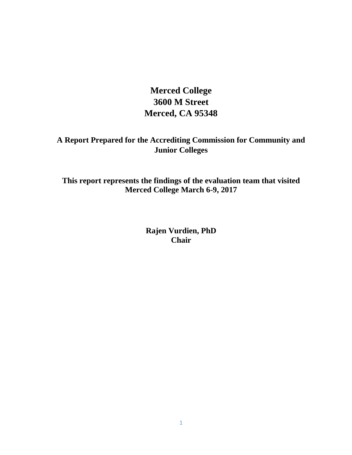**Merced College 3600 M Street Merced, CA 95348**

**A Report Prepared for the Accrediting Commission for Community and Junior Colleges**

**This report represents the findings of the evaluation team that visited Merced College March 6-9, 2017**

> **Rajen Vurdien, PhD Chair**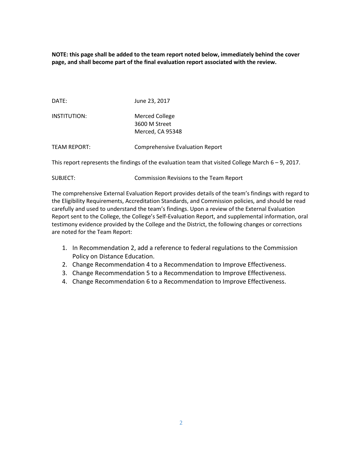**NOTE: this page shall be added to the team report noted below, immediately behind the cover page, and shall become part of the final evaluation report associated with the review.** 

DATE: June 23, 2017

INSTITUTION: Merced College 3600 M Street Merced, CA 95348

TEAM REPORT: Comprehensive Evaluation Report

This report represents the findings of the evaluation team that visited College March  $6 - 9$ , 2017.

|  | SUBJECT: | Commission Revisions to the Team Report |
|--|----------|-----------------------------------------|
|--|----------|-----------------------------------------|

The comprehensive External Evaluation Report provides details of the team's findings with regard to the Eligibility Requirements, Accreditation Standards, and Commission policies, and should be read carefully and used to understand the team's findings. Upon a review of the External Evaluation Report sent to the College, the College's Self-Evaluation Report, and supplemental information, oral testimony evidence provided by the College and the District, the following changes or corrections are noted for the Team Report:

- 1. In Recommendation 2, add a reference to federal regulations to the Commission Policy on Distance Education.
- 2. Change Recommendation 4 to a Recommendation to Improve Effectiveness.
- 3. Change Recommendation 5 to a Recommendation to Improve Effectiveness.
- 4. Change Recommendation 6 to a Recommendation to Improve Effectiveness.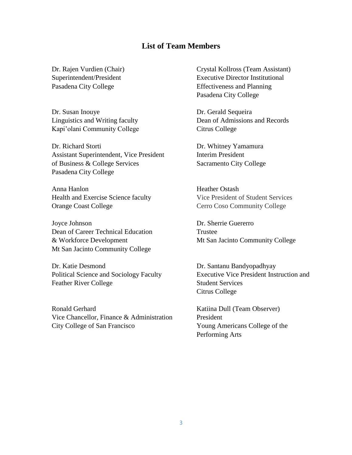## **List of Team Members**

Dr. Susan Inouye Dr. Gerald Sequeira Kapi'olani Community College Citrus College

Dr. Richard Storti Dr. Whitney Yamamura Assistant Superintendent, Vice President Interim President of Business & College Services Sacramento City College Pasadena City College

Anna Hanlon Heather Ostash Health and Exercise Science faculty Vice President of Student Services Orange Coast College Coast College Cerro Coso Community College

Joyce Johnson Dr. Sherrie Guererro Dean of Career Technical Education Trustee & Workforce Development Mt San Jacinto Community College Mt San Jacinto Community College

Dr. Katie Desmond Dr. Santanu Bandyopadhyay Feather River College Student Services

Ronald Gerhard Katiina Dull (Team Observer) Vice Chancellor, Finance & Administration President City College of San Francisco Young Americans College of the

Dr. Rajen Vurdien (Chair) Crystal Kollross (Team Assistant) Superintendent/President Executive Director Institutional Pasadena City College Effectiveness and Planning Pasadena City College

Linguistics and Writing faculty Dean of Admissions and Records

Political Science and Sociology Faculty Executive Vice President Instruction and Citrus College

Performing Arts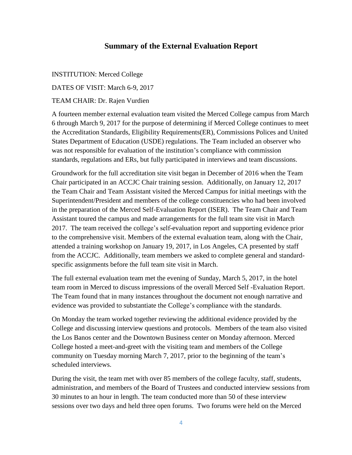## **Summary of the External Evaluation Report**

INSTITUTION: Merced College DATES OF VISIT: March 6-9, 2017 TEAM CHAIR: Dr. Rajen Vurdien

A fourteen member external evaluation team visited the Merced College campus from March 6 through March 9, 2017 for the purpose of determining if Merced College continues to meet the Accreditation Standards, Eligibility Requirements(ER), Commissions Polices and United States Department of Education (USDE) regulations. The Team included an observer who was not responsible for evaluation of the institution's compliance with commission standards, regulations and ERs, but fully participated in interviews and team discussions.

Groundwork for the full accreditation site visit began in December of 2016 when the Team Chair participated in an ACCJC Chair training session. Additionally, on January 12, 2017 the Team Chair and Team Assistant visited the Merced Campus for initial meetings with the Superintendent/President and members of the college constituencies who had been involved in the preparation of the Merced Self-Evaluation Report (ISER). The Team Chair and Team Assistant toured the campus and made arrangements for the full team site visit in March 2017. The team received the college's self-evaluation report and supporting evidence prior to the comprehensive visit. Members of the external evaluation team, along with the Chair, attended a training workshop on January 19, 2017, in Los Angeles, CA presented by staff from the ACCJC. Additionally, team members we asked to complete general and standardspecific assignments before the full team site visit in March.

The full external evaluation team met the evening of Sunday, March 5, 2017, in the hotel team room in Merced to discuss impressions of the overall Merced Self -Evaluation Report. The Team found that in many instances throughout the document not enough narrative and evidence was provided to substantiate the College's compliance with the standards.

On Monday the team worked together reviewing the additional evidence provided by the College and discussing interview questions and protocols. Members of the team also visited the Los Banos center and the Downtown Business center on Monday afternoon. Merced College hosted a meet-and-greet with the visiting team and members of the College community on Tuesday morning March 7, 2017, prior to the beginning of the team's scheduled interviews.

During the visit, the team met with over 85 members of the college faculty, staff, students, administration, and members of the Board of Trustees and conducted interview sessions from 30 minutes to an hour in length. The team conducted more than 50 of these interview sessions over two days and held three open forums. Two forums were held on the Merced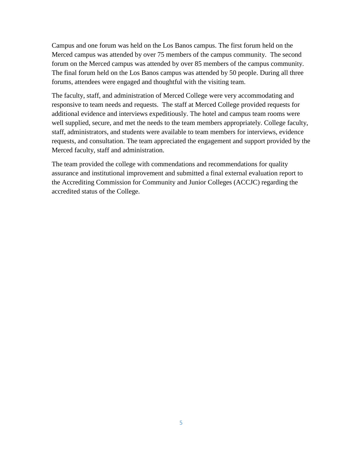Campus and one forum was held on the Los Banos campus. The first forum held on the Merced campus was attended by over 75 members of the campus community. The second forum on the Merced campus was attended by over 85 members of the campus community. The final forum held on the Los Banos campus was attended by 50 people. During all three forums, attendees were engaged and thoughtful with the visiting team.

The faculty, staff, and administration of Merced College were very accommodating and responsive to team needs and requests. The staff at Merced College provided requests for additional evidence and interviews expeditiously. The hotel and campus team rooms were well supplied, secure, and met the needs to the team members appropriately. College faculty, staff, administrators, and students were available to team members for interviews, evidence requests, and consultation. The team appreciated the engagement and support provided by the Merced faculty, staff and administration.

The team provided the college with commendations and recommendations for quality assurance and institutional improvement and submitted a final external evaluation report to the Accrediting Commission for Community and Junior Colleges (ACCJC) regarding the accredited status of the College.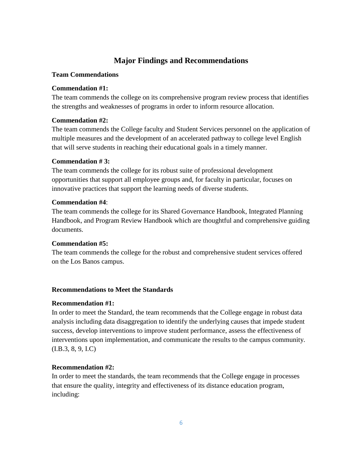# **Major Findings and Recommendations**

### **Team Commendations**

## **Commendation #1:**

The team commends the college on its comprehensive program review process that identifies the strengths and weaknesses of programs in order to inform resource allocation.

## **Commendation #2:**

The team commends the College faculty and Student Services personnel on the application of multiple measures and the development of an accelerated pathway to college level English that will serve students in reaching their educational goals in a timely manner.

## **Commendation # 3:**

The team commends the college for its robust suite of professional development opportunities that support all employee groups and, for faculty in particular, focuses on innovative practices that support the learning needs of diverse students.

## **Commendation #4**:

The team commends the college for its Shared Governance Handbook, Integrated Planning Handbook, and Program Review Handbook which are thoughtful and comprehensive guiding documents.

## **Commendation #5:**

The team commends the college for the robust and comprehensive student services offered on the Los Banos campus.

## **Recommendations to Meet the Standards**

## **Recommendation #1:**

In order to meet the Standard, the team recommends that the College engage in robust data analysis including data disaggregation to identify the underlying causes that impede student success, develop interventions to improve student performance, assess the effectiveness of interventions upon implementation, and communicate the results to the campus community. (I.B.3, 8, 9, I.C)

## **Recommendation #2:**

In order to meet the standards, the team recommends that the College engage in processes that ensure the quality, integrity and effectiveness of its distance education program, including: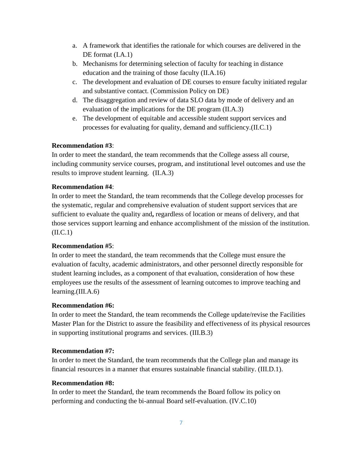- a. A framework that identifies the rationale for which courses are delivered in the DE format  $(I.A.1)$
- b. Mechanisms for determining selection of faculty for teaching in distance education and the training of those faculty (II.A.16)
- c. The development and evaluation of DE courses to ensure faculty initiated regular and substantive contact. (Commission Policy on DE)
- d. The disaggregation and review of data SLO data by mode of delivery and an evaluation of the implications for the DE program (II.A.3)
- e. The development of equitable and accessible student support services and processes for evaluating for quality, demand and sufficiency.(II.C.1)

## **Recommendation #3**:

In order to meet the standard, the team recommends that the College assess all course, including community service courses, program, and institutional level outcomes and use the results to improve student learning. (II.A.3)

## **Recommendation #4**:

In order to meet the Standard, the team recommends that the College develop processes for the systematic, regular and comprehensive evaluation of student support services that are sufficient to evaluate the quality and**,** regardless of location or means of delivery, and that those services support learning and enhance accomplishment of the mission of the institution.  $(II.C.1)$ 

## **Recommendation #5**:

In order to meet the standard, the team recommends that the College must ensure the evaluation of faculty, academic administrators, and other personnel directly responsible for student learning includes, as a component of that evaluation, consideration of how these employees use the results of the assessment of learning outcomes to improve teaching and learning.(III.A.6)

## **Recommendation #6:**

In order to meet the Standard, the team recommends the College update/revise the Facilities Master Plan for the District to assure the feasibility and effectiveness of its physical resources in supporting institutional programs and services. (III.B.3)

## **Recommendation #7:**

In order to meet the Standard, the team recommends that the College plan and manage its financial resources in a manner that ensures sustainable financial stability. (III.D.1).

## **Recommendation #8:**

In order to meet the Standard, the team recommends the Board follow its policy on performing and conducting the bi-annual Board self-evaluation. (IV.C.10)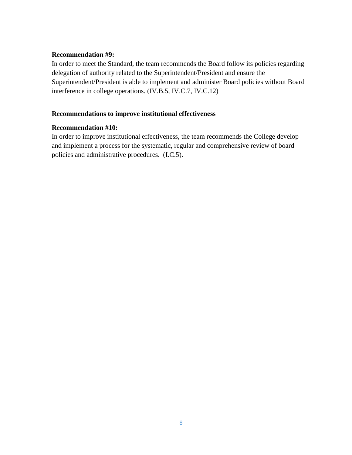### **Recommendation #9:**

In order to meet the Standard, the team recommends the Board follow its policies regarding delegation of authority related to the Superintendent/President and ensure the Superintendent/President is able to implement and administer Board policies without Board interference in college operations. (IV.B.5, IV.C.7, IV.C.12)

## **Recommendations to improve institutional effectiveness**

### **Recommendation #10:**

In order to improve institutional effectiveness, the team recommends the College develop and implement a process for the systematic, regular and comprehensive review of board policies and administrative procedures. (I.C.5).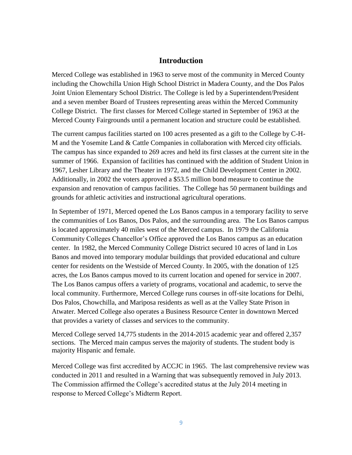## **Introduction**

Merced College was established in 1963 to serve most of the community in Merced County including the Chowchilla Union High School District in Madera County, and the Dos Palos Joint Union Elementary School District. The College is led by a Superintendent/President and a seven member Board of Trustees representing areas within the Merced Community College District. The first classes for Merced College started in September of 1963 at the Merced County Fairgrounds until a permanent location and structure could be established.

The current campus facilities started on 100 acres presented as a gift to the College by C-H-M and the Yosemite Land & Cattle Companies in collaboration with Merced city officials. The campus has since expanded to 269 acres and held its first classes at the current site in the summer of 1966. Expansion of facilities has continued with the addition of Student Union in 1967, Lesher Library and the Theater in 1972, and the Child Development Center in 2002. Additionally, in 2002 the voters approved a \$53.5 million bond measure to continue the expansion and renovation of campus facilities. The College has 50 permanent buildings and grounds for athletic activities and instructional agricultural operations.

In September of 1971, Merced opened the Los Banos campus in a temporary facility to serve the communities of Los Banos, Dos Palos, and the surrounding area. The Los Banos campus is located approximately 40 miles west of the Merced campus. In 1979 the California Community Colleges Chancellor's Office approved the Los Banos campus as an education center. In 1982, the Merced Community College District secured 10 acres of land in Los Banos and moved into temporary modular buildings that provided educational and culture center for residents on the Westside of Merced County. In 2005, with the donation of 125 acres, the Los Banos campus moved to its current location and opened for service in 2007. The Los Banos campus offers a variety of programs, vocational and academic, to serve the local community. Furthermore, Merced College runs courses in off-site locations for Delhi, Dos Palos, Chowchilla, and Mariposa residents as well as at the Valley State Prison in Atwater. Merced College also operates a Business Resource Center in downtown Merced that provides a variety of classes and services to the community.

Merced College served 14,775 students in the 2014-2015 academic year and offered 2,357 sections. The Merced main campus serves the majority of students. The student body is majority Hispanic and female.

Merced College was first accredited by ACCJC in 1965. The last comprehensive review was conducted in 2011 and resulted in a Warning that was subsequently removed in July 2013. The Commission affirmed the College's accredited status at the July 2014 meeting in response to Merced College's Midterm Report.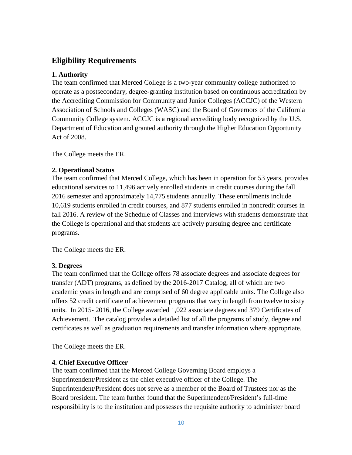# **Eligibility Requirements**

## **1. Authority**

The team confirmed that Merced College is a two-year community college authorized to operate as a postsecondary, degree-granting institution based on continuous accreditation by the Accrediting Commission for Community and Junior Colleges (ACCJC) of the Western Association of Schools and Colleges (WASC) and the Board of Governors of the California Community College system. ACCJC is a regional accrediting body recognized by the U.S. Department of Education and granted authority through the Higher Education Opportunity Act of 2008.

The College meets the ER.

## **2. Operational Status**

The team confirmed that Merced College, which has been in operation for 53 years, provides educational services to 11,496 actively enrolled students in credit courses during the fall 2016 semester and approximately 14,775 students annually. These enrollments include 10,619 students enrolled in credit courses, and 877 students enrolled in noncredit courses in fall 2016. A review of the Schedule of Classes and interviews with students demonstrate that the College is operational and that students are actively pursuing degree and certificate programs.

The College meets the ER.

## **3. Degrees**

The team confirmed that the College offers 78 associate degrees and associate degrees for transfer (ADT) programs, as defined by the 2016-2017 Catalog, all of which are two academic years in length and are comprised of 60 degree applicable units. The College also offers 52 credit certificate of achievement programs that vary in length from twelve to sixty units. In 2015- 2016, the College awarded 1,022 associate degrees and 379 Certificates of Achievement. The catalog provides a detailed list of all the programs of study, degree and certificates as well as graduation requirements and transfer information where appropriate.

The College meets the ER.

## **4. Chief Executive Officer**

The team confirmed that the Merced College Governing Board employs a Superintendent/President as the chief executive officer of the College. The Superintendent/President does not serve as a member of the Board of Trustees nor as the Board president. The team further found that the Superintendent/President's full-time responsibility is to the institution and possesses the requisite authority to administer board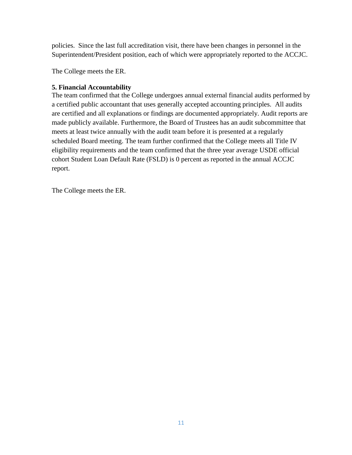policies. Since the last full accreditation visit, there have been changes in personnel in the Superintendent/President position, each of which were appropriately reported to the ACCJC.

The College meets the ER.

## **5. Financial Accountability**

The team confirmed that the College undergoes annual external financial audits performed by a certified public accountant that uses generally accepted accounting principles. All audits are certified and all explanations or findings are documented appropriately. Audit reports are made publicly available. Furthermore, the Board of Trustees has an audit subcommittee that meets at least twice annually with the audit team before it is presented at a regularly scheduled Board meeting. The team further confirmed that the College meets all Title IV eligibility requirements and the team confirmed that the three year average USDE official cohort Student Loan Default Rate (FSLD) is 0 percent as reported in the annual ACCJC report.

The College meets the ER.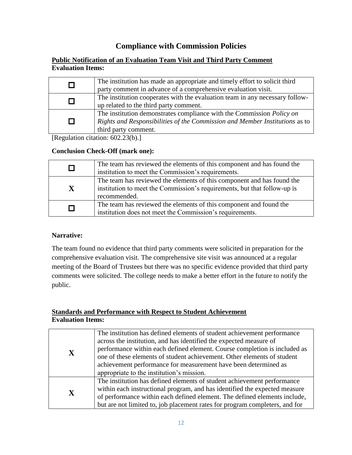# **Compliance with Commission Policies**

### **Public Notification of an Evaluation Team Visit and Third Party Comment Evaluation Items:**

|   | The institution has made an appropriate and timely effort to solicit third<br>party comment in advance of a comprehensive evaluation visit.                                         |
|---|-------------------------------------------------------------------------------------------------------------------------------------------------------------------------------------|
|   | The institution cooperates with the evaluation team in any necessary follow-<br>up related to the third party comment.                                                              |
| П | The institution demonstrates compliance with the Commission <i>Policy on</i><br>Rights and Responsibilities of the Commission and Member Institutions as to<br>third party comment. |

[Regulation citation: 602.23(b).]

## **Conclusion Check-Off (mark one):**

|          | The team has reviewed the elements of this component and has found the<br>institution to meet the Commission's requirements.                                       |
|----------|--------------------------------------------------------------------------------------------------------------------------------------------------------------------|
| X        | The team has reviewed the elements of this component and has found the<br>institution to meet the Commission's requirements, but that follow-up is<br>recommended. |
| <b>I</b> | The team has reviewed the elements of this component and found the<br>institution does not meet the Commission's requirements.                                     |

## **Narrative:**

The team found no evidence that third party comments were solicited in preparation for the comprehensive evaluation visit. The comprehensive site visit was announced at a regular meeting of the Board of Trustees but there was no specific evidence provided that third party comments were solicited. The college needs to make a better effort in the future to notify the public.

### **Standards and Performance with Respect to Student Achievement Evaluation Items:**

| $\mathbf X$ | The institution has defined elements of student achievement performance<br>across the institution, and has identified the expected measure of<br>performance within each defined element. Course completion is included as<br>one of these elements of student achievement. Other elements of student<br>achievement performance for measurement have been determined as<br>appropriate to the institution's mission. |
|-------------|-----------------------------------------------------------------------------------------------------------------------------------------------------------------------------------------------------------------------------------------------------------------------------------------------------------------------------------------------------------------------------------------------------------------------|
| $\mathbf X$ | The institution has defined elements of student achievement performance<br>within each instructional program, and has identified the expected measure<br>of performance within each defined element. The defined elements include,<br>but are not limited to, job placement rates for program completers, and for                                                                                                     |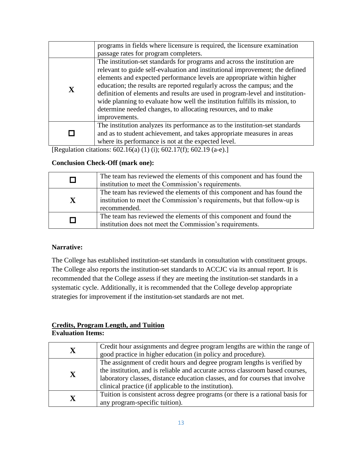|             | programs in fields where licensure is required, the licensure examination     |
|-------------|-------------------------------------------------------------------------------|
|             | passage rates for program completers.                                         |
|             | The institution-set standards for programs and across the institution are     |
|             | relevant to guide self-evaluation and institutional improvement; the defined  |
|             | elements and expected performance levels are appropriate within higher        |
|             | education; the results are reported regularly across the campus; and the      |
| $\mathbf X$ | definition of elements and results are used in program-level and institution- |
|             | wide planning to evaluate how well the institution fulfills its mission, to   |
|             | determine needed changes, to allocating resources, and to make                |
|             | improvements.                                                                 |
|             | The institution analyzes its performance as to the institution-set standards  |
|             | and as to student achievement, and takes appropriate measures in areas        |
|             | where its performance is not at the expected level.                           |

[Regulation citations: 602.16(a) (1) (i); 602.17(f); 602.19 (a-e).]

## **Conclusion Check-Off (mark one):**

|              | The team has reviewed the elements of this component and has found the   |
|--------------|--------------------------------------------------------------------------|
|              |                                                                          |
|              | institution to meet the Commission's requirements.                       |
|              | The team has reviewed the elements of this component and has found the   |
|              |                                                                          |
| $\mathbf{X}$ | institution to meet the Commission's requirements, but that follow-up is |
|              |                                                                          |
|              | recommended.                                                             |
|              |                                                                          |
| П            | The team has reviewed the elements of this component and found the       |
|              | institution does not meet the Commission's requirements.                 |
|              |                                                                          |

## **Narrative:**

The College has established institution-set standards in consultation with constituent groups. The College also reports the institution-set standards to ACCJC via its annual report. It is recommended that the College assess if they are meeting the institution-set standards in a systematic cycle. Additionally, it is recommended that the College develop appropriate strategies for improvement if the institution-set standards are not met.

### **Credits, Program Length, and Tuition Evaluation Items:**

| $\overline{\textbf{X}}$ | Credit hour assignments and degree program lengths are within the range of     |
|-------------------------|--------------------------------------------------------------------------------|
|                         | good practice in higher education (in policy and procedure).                   |
|                         | The assignment of credit hours and degree program lengths is verified by       |
| X                       | the institution, and is reliable and accurate across classroom based courses,  |
|                         | laboratory classes, distance education classes, and for courses that involve   |
|                         | clinical practice (if applicable to the institution).                          |
|                         | Tuition is consistent across degree programs (or there is a rational basis for |
| $\mathbf X$             | any program-specific tuition).                                                 |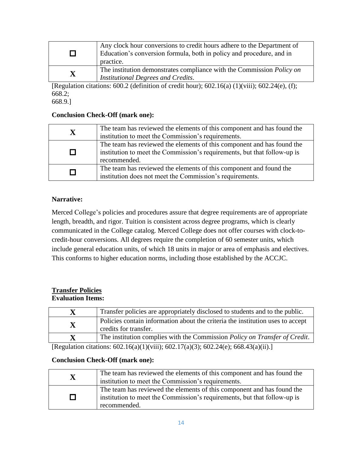| $\Box$                  | Any clock hour conversions to credit hours adhere to the Department of<br>Education's conversion formula, both in policy and procedure, and in<br>practice. |
|-------------------------|-------------------------------------------------------------------------------------------------------------------------------------------------------------|
| $\overline{\textbf{X}}$ | The institution demonstrates compliance with the Commission <i>Policy on</i><br><b>Institutional Degrees and Credits.</b>                                   |

[Regulation citations:  $600.2$  (definition of credit hour);  $602.16(a)$  (1)(viii);  $602.24(e)$ , (f); 668.2;

668.9.]

### **Conclusion Check-Off (mark one):**

| X             | The team has reviewed the elements of this component and has found the<br>institution to meet the Commission's requirements.                                       |
|---------------|--------------------------------------------------------------------------------------------------------------------------------------------------------------------|
| П             | The team has reviewed the elements of this component and has found the<br>institution to meet the Commission's requirements, but that follow-up is<br>recommended. |
| $\mathcal{L}$ | The team has reviewed the elements of this component and found the<br>institution does not meet the Commission's requirements.                                     |

## **Narrative:**

Merced College's policies and procedures assure that degree requirements are of appropriate length, breadth, and rigor. Tuition is consistent across degree programs, which is clearly communicated in the College catalog. Merced College does not offer courses with clock-tocredit-hour conversions. All degrees require the completion of 60 semester units, which include general education units, of which 18 units in major or area of emphasis and electives. This conforms to higher education norms, including those established by the ACCJC.

### **Transfer Policies Evaluation Items:**

| $\mathbf X$ | Transfer policies are appropriately disclosed to students and to the public.                            |
|-------------|---------------------------------------------------------------------------------------------------------|
| $\mathbf X$ | Policies contain information about the criteria the institution uses to accept<br>credits for transfer. |
| X           | The institution complies with the Commission <i>Policy on Transfer of Credit</i> .                      |

[Regulation citations: 602.16(a)(1)(viii); 602.17(a)(3); 602.24(e); 668.43(a)(ii).]

## **Conclusion Check-Off (mark one):**

| $\overline{\mathbf{X}}$ | The team has reviewed the elements of this component and has found the<br>institution to meet the Commission's requirements.                                       |
|-------------------------|--------------------------------------------------------------------------------------------------------------------------------------------------------------------|
| П                       | The team has reviewed the elements of this component and has found the<br>institution to meet the Commission's requirements, but that follow-up is<br>recommended. |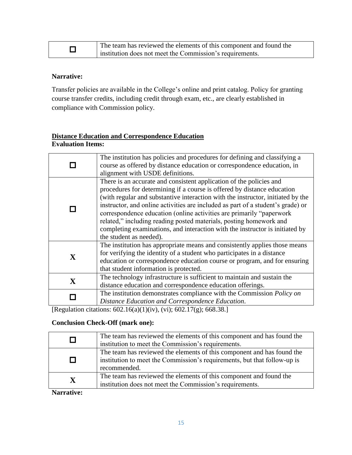| The team has reviewed the elements of this component and found the |
|--------------------------------------------------------------------|
| institution does not meet the Commission's requirements.           |

### **Narrative:**

Transfer policies are available in the College's online and print catalog. Policy for granting course transfer credits, including credit through exam, etc., are clearly established in compliance with Commission policy.

## **Distance Education and Correspondence Education Evaluation Items:**

|              | The institution has policies and procedures for defining and classifying a<br>course as offered by distance education or correspondence education, in<br>alignment with USDE definitions.                                                                                                                                                                                                                                                                                                                                                                                       |
|--------------|---------------------------------------------------------------------------------------------------------------------------------------------------------------------------------------------------------------------------------------------------------------------------------------------------------------------------------------------------------------------------------------------------------------------------------------------------------------------------------------------------------------------------------------------------------------------------------|
|              | There is an accurate and consistent application of the policies and<br>procedures for determining if a course is offered by distance education<br>(with regular and substantive interaction with the instructor, initiated by the<br>instructor, and online activities are included as part of a student's grade) or<br>correspondence education (online activities are primarily "paperwork")<br>related," including reading posted materials, posting homework and<br>completing examinations, and interaction with the instructor is initiated by<br>the student as needed). |
| $\mathbf{X}$ | The institution has appropriate means and consistently applies those means<br>for verifying the identity of a student who participates in a distance<br>education or correspondence education course or program, and for ensuring<br>that student information is protected.                                                                                                                                                                                                                                                                                                     |
| $\mathbf X$  | The technology infrastructure is sufficient to maintain and sustain the<br>distance education and correspondence education offerings.                                                                                                                                                                                                                                                                                                                                                                                                                                           |
|              | The institution demonstrates compliance with the Commission <i>Policy on</i><br>Distance Education and Correspondence Education.                                                                                                                                                                                                                                                                                                                                                                                                                                                |

[Regulation citations: 602.16(a)(1)(iv), (vi); 602.17(g); 668.38.]

## **Conclusion Check-Off (mark one):**

|             | The team has reviewed the elements of this component and has found the<br>institution to meet the Commission's requirements.                                       |
|-------------|--------------------------------------------------------------------------------------------------------------------------------------------------------------------|
| П           | The team has reviewed the elements of this component and has found the<br>institution to meet the Commission's requirements, but that follow-up is<br>recommended. |
| $\mathbf X$ | The team has reviewed the elements of this component and found the<br>institution does not meet the Commission's requirements.                                     |

**Narrative:**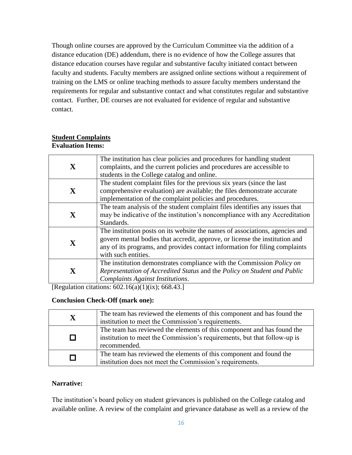Though online courses are approved by the Curriculum Committee via the addition of a distance education (DE) addendum, there is no evidence of how the College assures that distance education courses have regular and substantive faculty initiated contact between faculty and students. Faculty members are assigned online sections without a requirement of training on the LMS or online teaching methods to assure faculty members understand the requirements for regular and substantive contact and what constitutes regular and substantive contact. Further, DE courses are not evaluated for evidence of regular and substantive contact.

### **Student Complaints Evaluation Items:**

| $\mathbf X$  | The institution has clear policies and procedures for handling student<br>complaints, and the current policies and procedures are accessible to<br>students in the College catalog and online.                                                                    |
|--------------|-------------------------------------------------------------------------------------------------------------------------------------------------------------------------------------------------------------------------------------------------------------------|
| $\mathbf{X}$ | The student complaint files for the previous six years (since the last)<br>comprehensive evaluation) are available; the files demonstrate accurate<br>implementation of the complaint policies and procedures.                                                    |
| $\mathbf{X}$ | The team analysis of the student complaint files identifies any issues that<br>may be indicative of the institution's noncompliance with any Accreditation<br>Standards.                                                                                          |
| X            | The institution posts on its website the names of associations, agencies and<br>govern mental bodies that accredit, approve, or license the institution and<br>any of its programs, and provides contact information for filing complaints<br>with such entities. |
| $\mathbf X$  | The institution demonstrates compliance with the Commission <i>Policy on</i><br>Representation of Accredited Status and the Policy on Student and Public<br>Complaints Against Institutions.                                                                      |

[Regulation citations:  $602.16(a)(1)(ix)$ ; 668.43.]

## **Conclusion Check-Off (mark one):**

| X | The team has reviewed the elements of this component and has found the<br>institution to meet the Commission's requirements.                                       |
|---|--------------------------------------------------------------------------------------------------------------------------------------------------------------------|
|   | The team has reviewed the elements of this component and has found the<br>institution to meet the Commission's requirements, but that follow-up is<br>recommended. |
|   | The team has reviewed the elements of this component and found the<br>institution does not meet the Commission's requirements.                                     |

## **Narrative:**

The institution's board policy on student grievances is published on the College catalog and available online. A review of the complaint and grievance database as well as a review of the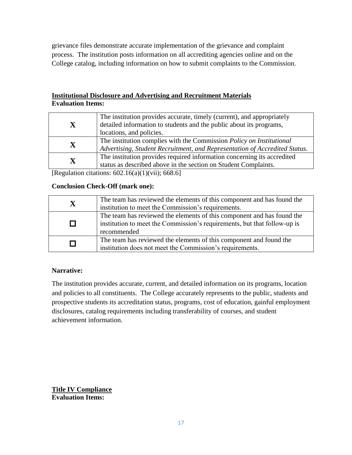grievance files demonstrate accurate implementation of the grievance and complaint process. The institution posts information on all accrediting agencies online and on the College catalog, including information on how to submit complaints to the Commission.

## **Institutional Disclosure and Advertising and Recruitment Materials Evaluation Items:**

| $\mathbf{X}$ | The institution provides accurate, timely (current), and appropriately<br>detailed information to students and the public about its programs,<br>locations, and policies. |
|--------------|---------------------------------------------------------------------------------------------------------------------------------------------------------------------------|
| $\mathbf X$  | The institution complies with the Commission <i>Policy on Institutional</i><br>Advertising, Student Recruitment, and Representation of Accredited Status.                 |
| $\mathbf X$  | The institution provides required information concerning its accredited<br>status as described above in the section on Student Complaints.                                |

[Regulation citations: 602.16(a)(1)(vii); 668.6]

## **Conclusion Check-Off (mark one):**

| $\mathbf X$ | The team has reviewed the elements of this component and has found the<br>institution to meet the Commission's requirements.                                      |
|-------------|-------------------------------------------------------------------------------------------------------------------------------------------------------------------|
| П           | The team has reviewed the elements of this component and has found the<br>institution to meet the Commission's requirements, but that follow-up is<br>recommended |
| $\Box$      | The team has reviewed the elements of this component and found the<br>institution does not meet the Commission's requirements.                                    |

## **Narrative:**

The institution provides accurate, current, and detailed information on its programs, location and policies to all constituents. The College accurately represents to the public, students and prospective students its accreditation status, programs, cost of education, gainful employment disclosures, catalog requirements including transferability of courses, and student achievement information.

**Title IV Compliance Evaluation Items:**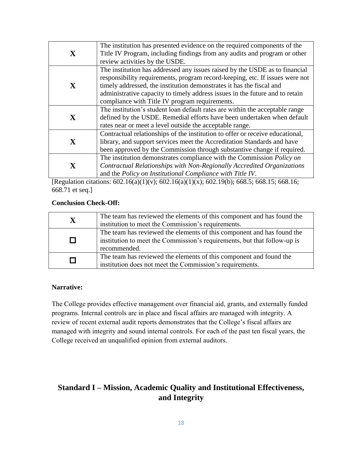|              | The institution has presented evidence on the required components of the      |
|--------------|-------------------------------------------------------------------------------|
| $\mathbf X$  | Title IV Program, including findings from any audits and program or other     |
|              | review activities by the USDE.                                                |
|              | The institution has addressed any issues raised by the USDE as to financial   |
|              | responsibility requirements, program record-keeping, etc. If issues were not  |
| $\mathbf{X}$ | timely addressed, the institution demonstrates it has the fiscal and          |
|              | administrative capacity to timely address issues in the future and to retain  |
|              | compliance with Title IV program requirements.                                |
|              | The institution's student loan default rates are within the acceptable range  |
| $\mathbf{X}$ | defined by the USDE. Remedial efforts have been undertaken when default       |
|              | rates near or meet a level outside the acceptable range.                      |
|              | Contractual relationships of the institution to offer or receive educational, |
| $\mathbf{X}$ | library, and support services meet the Accreditation Standards and have       |
|              | been approved by the Commission through substantive change if required.       |
|              | The institution demonstrates compliance with the Commission Policy on         |
| $\mathbf X$  | Contractual Relationships with Non-Regionally Accredited Organizations        |
|              | and the Policy on Institutional Compliance with Title IV.                     |

[Regulation citations: 602.16(a)(1)(v); 602.16(a)(1)(x); 602.19(b); 668.5; 668.15; 668.16; 668.71 et seq.]

## **Conclusion Check-Off:**

| $\mathbf X$ | The team has reviewed the elements of this component and has found the<br>institution to meet the Commission's requirements.                                       |
|-------------|--------------------------------------------------------------------------------------------------------------------------------------------------------------------|
| П           | The team has reviewed the elements of this component and has found the<br>institution to meet the Commission's requirements, but that follow-up is<br>recommended. |
| П           | The team has reviewed the elements of this component and found the<br>institution does not meet the Commission's requirements.                                     |

## **Narrative:**

The College provides effective management over financial aid, grants, and externally funded programs. Internal controls are in place and fiscal affairs are managed with integrity. A review of recent external audit reports demonstrates that the College's fiscal affairs are managed with integrity and sound internal controls. For each of the past ten fiscal years, the College received an unqualified opinion from external auditors.

# **Standard I – Mission, Academic Quality and Institutional Effectiveness, and Integrity**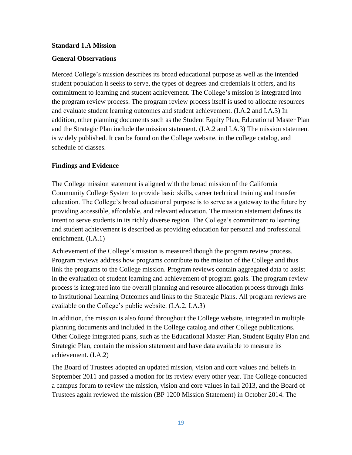### **Standard 1.A Mission**

### **General Observations**

Merced College's mission describes its broad educational purpose as well as the intended student population it seeks to serve, the types of degrees and credentials it offers, and its commitment to learning and student achievement. The College's mission is integrated into the program review process. The program review process itself is used to allocate resources and evaluate student learning outcomes and student achievement. (I.A.2 and I.A.3) In addition, other planning documents such as the Student Equity Plan, Educational Master Plan and the Strategic Plan include the mission statement. (I.A.2 and I.A.3) The mission statement is widely published. It can be found on the College website, in the college catalog, and schedule of classes.

### **Findings and Evidence**

The College mission statement is aligned with the broad mission of the California Community College System to provide basic skills, career technical training and transfer education. The College's broad educational purpose is to serve as a gateway to the future by providing accessible, affordable, and relevant education. The mission statement defines its intent to serve students in its richly diverse region. The College's commitment to learning and student achievement is described as providing education for personal and professional enrichment. (I.A.1)

Achievement of the College's mission is measured though the program review process. Program reviews address how programs contribute to the mission of the College and thus link the programs to the College mission. Program reviews contain aggregated data to assist in the evaluation of student learning and achievement of program goals. The program review process is integrated into the overall planning and resource allocation process through links to Institutional Learning Outcomes and links to the Strategic Plans. All program reviews are available on the College's public website. (I.A.2, I.A.3)

In addition, the mission is also found throughout the College website, integrated in multiple planning documents and included in the College catalog and other College publications. Other College integrated plans, such as the Educational Master Plan, Student Equity Plan and Strategic Plan, contain the mission statement and have data available to measure its achievement. (I.A.2)

The Board of Trustees adopted an updated mission, vision and core values and beliefs in September 2011 and passed a motion for its review every other year. The College conducted a campus forum to review the mission, vision and core values in fall 2013, and the Board of Trustees again reviewed the mission (BP 1200 Mission Statement) in October 2014. The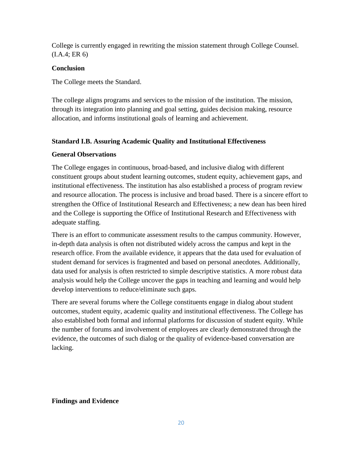College is currently engaged in rewriting the mission statement through College Counsel. (I.A.4; ER 6)

## **Conclusion**

The College meets the Standard.

The college aligns programs and services to the mission of the institution. The mission, through its integration into planning and goal setting, guides decision making, resource allocation, and informs institutional goals of learning and achievement.

## **Standard I.B. Assuring Academic Quality and Institutional Effectiveness**

## **General Observations**

The College engages in continuous, broad-based, and inclusive dialog with different constituent groups about student learning outcomes, student equity, achievement gaps, and institutional effectiveness. The institution has also established a process of program review and resource allocation. The process is inclusive and broad based. There is a sincere effort to strengthen the Office of Institutional Research and Effectiveness; a new dean has been hired and the College is supporting the Office of Institutional Research and Effectiveness with adequate staffing.

There is an effort to communicate assessment results to the campus community. However, in-depth data analysis is often not distributed widely across the campus and kept in the research office. From the available evidence, it appears that the data used for evaluation of student demand for services is fragmented and based on personal anecdotes. Additionally, data used for analysis is often restricted to simple descriptive statistics. A more robust data analysis would help the College uncover the gaps in teaching and learning and would help develop interventions to reduce/eliminate such gaps.

There are several forums where the College constituents engage in dialog about student outcomes, student equity, academic quality and institutional effectiveness. The College has also established both formal and informal platforms for discussion of student equity. While the number of forums and involvement of employees are clearly demonstrated through the evidence, the outcomes of such dialog or the quality of evidence-based conversation are lacking.

## **Findings and Evidence**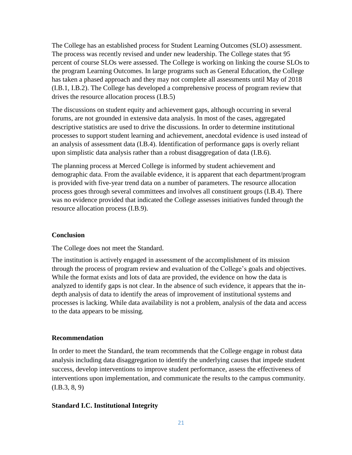The College has an established process for Student Learning Outcomes (SLO) assessment. The process was recently revised and under new leadership. The College states that 95 percent of course SLOs were assessed. The College is working on linking the course SLOs to the program Learning Outcomes. In large programs such as General Education, the College has taken a phased approach and they may not complete all assessments until May of 2018 (I.B.1, I.B.2). The College has developed a comprehensive process of program review that drives the resource allocation process (I.B.5)

The discussions on student equity and achievement gaps, although occurring in several forums, are not grounded in extensive data analysis. In most of the cases, aggregated descriptive statistics are used to drive the discussions. In order to determine institutional processes to support student learning and achievement, anecdotal evidence is used instead of an analysis of assessment data (I.B.4). Identification of performance gaps is overly reliant upon simplistic data analysis rather than a robust disaggregation of data (I.B.6).

The planning process at Merced College is informed by student achievement and demographic data. From the available evidence, it is apparent that each department/program is provided with five-year trend data on a number of parameters. The resource allocation process goes through several committees and involves all constituent groups (I.B.4). There was no evidence provided that indicated the College assesses initiatives funded through the resource allocation process (I.B.9).

### **Conclusion**

The College does not meet the Standard.

The institution is actively engaged in assessment of the accomplishment of its mission through the process of program review and evaluation of the College's goals and objectives. While the format exists and lots of data are provided, the evidence on how the data is analyzed to identify gaps is not clear. In the absence of such evidence, it appears that the indepth analysis of data to identify the areas of improvement of institutional systems and processes is lacking. While data availability is not a problem, analysis of the data and access to the data appears to be missing.

#### **Recommendation**

In order to meet the Standard, the team recommends that the College engage in robust data analysis including data disaggregation to identify the underlying causes that impede student success, develop interventions to improve student performance, assess the effectiveness of interventions upon implementation, and communicate the results to the campus community.  $(I.B.3, 8, 9)$ 

### **Standard I.C. Institutional Integrity**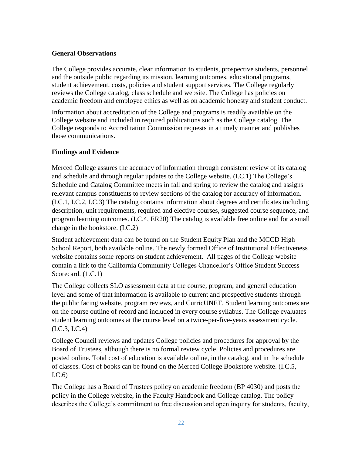### **General Observations**

The College provides accurate, clear information to students, prospective students, personnel and the outside public regarding its mission, learning outcomes, educational programs, student achievement, costs, policies and student support services. The College regularly reviews the College catalog, class schedule and website. The College has policies on academic freedom and employee ethics as well as on academic honesty and student conduct.

Information about accreditation of the College and programs is readily available on the College website and included in required publications such as the College catalog. The College responds to Accreditation Commission requests in a timely manner and publishes those communications.

### **Findings and Evidence**

Merced College assures the accuracy of information through consistent review of its catalog and schedule and through regular updates to the College website. (I.C.1) The College's Schedule and Catalog Committee meets in fall and spring to review the catalog and assigns relevant campus constituents to review sections of the catalog for accuracy of information. (I.C.1, I.C.2, I.C.3) The catalog contains information about degrees and certificates including description, unit requirements, required and elective courses, suggested course sequence, and program learning outcomes. (I.C.4, ER20) The catalog is available free online and for a small charge in the bookstore. (I.C.2)

Student achievement data can be found on the Student Equity Plan and the MCCD High School Report, both available online. The newly formed Office of Institutional Effectiveness website contains some reports on student achievement. All pages of the College website contain a link to the California Community Colleges Chancellor's Office Student Success Scorecard. (1.C.1)

The College collects SLO assessment data at the course, program, and general education level and some of that information is available to current and prospective students through the public facing website, program reviews, and CurricUNET. Student learning outcomes are on the course outline of record and included in every course syllabus. The College evaluates student learning outcomes at the course level on a twice-per-five-years assessment cycle. (I.C.3, I.C.4)

College Council reviews and updates College policies and procedures for approval by the Board of Trustees, although there is no formal review cycle. Policies and procedures are posted online. Total cost of education is available online, in the catalog, and in the schedule of classes. Cost of books can be found on the Merced College Bookstore website. (I.C.5, I.C.6)

The College has a Board of Trustees policy on academic freedom (BP 4030) and posts the policy in the College website, in the Faculty Handbook and College catalog. The policy describes the College's commitment to free discussion and open inquiry for students, faculty,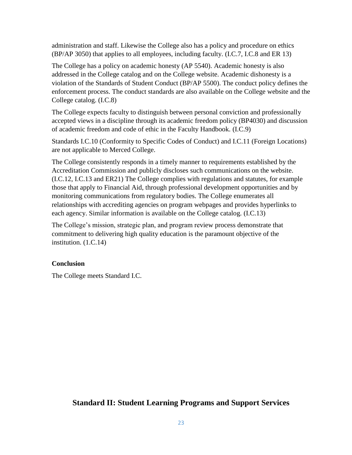administration and staff. Likewise the College also has a policy and procedure on ethics (BP/AP 3050) that applies to all employees, including faculty. (I.C.7, I.C.8 and ER 13)

The College has a policy on academic honesty (AP 5540). Academic honesty is also addressed in the College catalog and on the College website. Academic dishonesty is a violation of the Standards of Student Conduct (BP/AP 5500). The conduct policy defines the enforcement process. The conduct standards are also available on the College website and the College catalog. (I.C.8)

The College expects faculty to distinguish between personal conviction and professionally accepted views in a discipline through its academic freedom policy (BP4030) and discussion of academic freedom and code of ethic in the Faculty Handbook. (I.C.9)

Standards I.C.10 (Conformity to Specific Codes of Conduct) and I.C.11 (Foreign Locations) are not applicable to Merced College.

The College consistently responds in a timely manner to requirements established by the Accreditation Commission and publicly discloses such communications on the website. (I.C.12, I.C.13 and ER21) The College complies with regulations and statutes, for example those that apply to Financial Aid, through professional development opportunities and by monitoring communications from regulatory bodies. The College enumerates all relationships with accrediting agencies on program webpages and provides hyperlinks to each agency. Similar information is available on the College catalog. (I.C.13)

The College's mission, strategic plan, and program review process demonstrate that commitment to delivering high quality education is the paramount objective of the institution. (1.C.14)

## **Conclusion**

The College meets Standard I.C.

# **Standard II: Student Learning Programs and Support Services**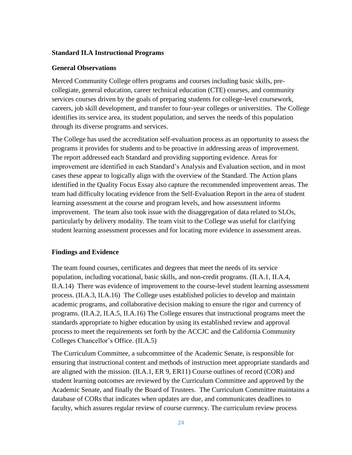#### **Standard II.A Instructional Programs**

#### **General Observations**

Merced Community College offers programs and courses including basic skills, precollegiate, general education, career technical education (CTE) courses, and community services courses driven by the goals of preparing students for college-level coursework, careers, job skill development, and transfer to four-year colleges or universities. The College identifies its service area, its student population, and serves the needs of this population through its diverse programs and services.

The College has used the accreditation self-evaluation process as an opportunity to assess the programs it provides for students and to be proactive in addressing areas of improvement. The report addressed each Standard and providing supporting evidence. Areas for improvement are identified in each Standard's Analysis and Evaluation section, and in most cases these appear to logically align with the overview of the Standard. The Action plans identified in the Quality Focus Essay also capture the recommended improvement areas. The team had difficulty locating evidence from the Self-Evaluation Report in the area of student learning assessment at the course and program levels, and how assessment informs improvement. The team also took issue with the disaggregation of data related to SLOs, particularly by delivery modality. The team visit to the College was useful for clarifying student learning assessment processes and for locating more evidence in assessment areas.

#### **Findings and Evidence**

The team found courses, certificates and degrees that meet the needs of its service population, including vocational, basic skills, and non-credit programs. (II.A.1, II.A.4, II.A.14) There was evidence of improvement to the course-level student learning assessment process. (II.A.3, II.A.16) The College uses established policies to develop and maintain academic programs, and collaborative decision making to ensure the rigor and currency of programs. (II.A.2, II.A.5, II.A.16) The College ensures that instructional programs meet the standards appropriate to higher education by using its established review and approval process to meet the requirements set forth by the ACCJC and the California Community Colleges Chancellor's Office. (II.A.5)

The Curriculum Committee, a subcommittee of the Academic Senate, is responsible for ensuring that instructional content and methods of instruction meet appropriate standards and are aligned with the mission. (II.A.1, ER 9, ER11) Course outlines of record (COR) and student learning outcomes are reviewed by the Curriculum Committee and approved by the Academic Senate, and finally the Board of Trustees. The Curriculum Committee maintains a database of CORs that indicates when updates are due, and communicates deadlines to faculty, which assures regular review of course currency. The curriculum review process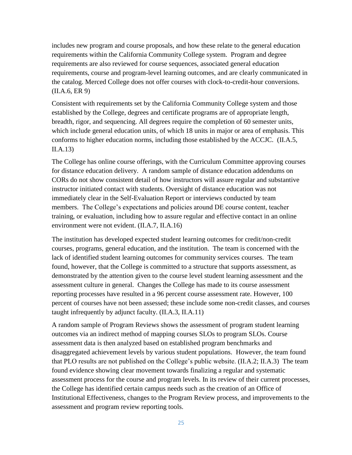includes new program and course proposals, and how these relate to the general education requirements within the California Community College system. Program and degree requirements are also reviewed for course sequences, associated general education requirements, course and program-level learning outcomes, and are clearly communicated in the catalog. Merced College does not offer courses with clock-to-credit-hour conversions. (II.A.6, ER 9)

Consistent with requirements set by the California Community College system and those established by the College, degrees and certificate programs are of appropriate length, breadth, rigor, and sequencing. All degrees require the completion of 60 semester units, which include general education units, of which 18 units in major or area of emphasis. This conforms to higher education norms, including those established by the ACCJC.(II.A.5, II.A.13)

The College has online course offerings, with the Curriculum Committee approving courses for distance education delivery. A random sample of distance education addendums on CORs do not show consistent detail of how instructors will assure regular and substantive instructor initiated contact with students. Oversight of distance education was not immediately clear in the Self-Evaluation Report or interviews conducted by team members. The College's expectations and policies around DE course content, teacher training, or evaluation, including how to assure regular and effective contact in an online environment were not evident. (II.A.7, II.A.16)

The institution has developed expected student learning outcomes for credit/non-credit courses, programs, general education, and the institution. The team is concerned with the lack of identified student learning outcomes for community services courses. The team found, however, that the College is committed to a structure that supports assessment, as demonstrated by the attention given to the course level student learning assessment and the assessment culture in general. Changes the College has made to its course assessment reporting processes have resulted in a 96 percent course assessment rate. However, 100 percent of courses have not been assessed; these include some non-credit classes, and courses taught infrequently by adjunct faculty. (II.A.3, II.A.11)

A random sample of Program Reviews shows the assessment of program student learning outcomes via an indirect method of mapping courses SLOs to program SLOs. Course assessment data is then analyzed based on established program benchmarks and disaggregated achievement levels by various student populations. However, the team found that PLO results are not published on the College's public website. (II.A.2; II.A.3) The team found evidence showing clear movement towards finalizing a regular and systematic assessment process for the course and program levels. In its review of their current processes, the College has identified certain campus needs such as the creation of an Office of Institutional Effectiveness, changes to the Program Review process, and improvements to the assessment and program review reporting tools.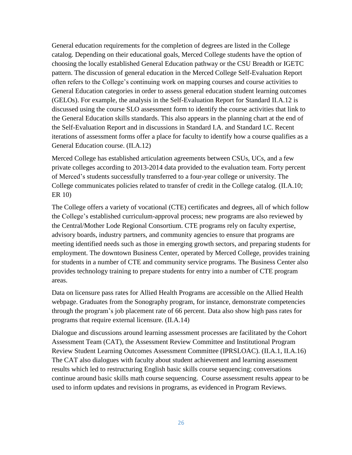General education requirements for the completion of degrees are listed in the College catalog. Depending on their educational goals, Merced College students have the option of choosing the locally established General Education pathway or the CSU Breadth or IGETC pattern. The discussion of general education in the Merced College Self-Evaluation Report often refers to the College's continuing work on mapping courses and course activities to General Education categories in order to assess general education student learning outcomes (GELOs). For example, the analysis in the Self-Evaluation Report for Standard II.A.12 is discussed using the course SLO assessment form to identify the course activities that link to the General Education skills standards. This also appears in the planning chart at the end of the Self-Evaluation Report and in discussions in Standard I.A. and Standard I.C. Recent iterations of assessment forms offer a place for faculty to identify how a course qualifies as a General Education course. (II.A.12)

Merced College has established articulation agreements between CSUs, UCs, and a few private colleges according to 2013-2014 data provided to the evaluation team. Forty percent of Merced's students successfully transferred to a four-year college or university. The College communicates policies related to transfer of credit in the College catalog. (II.A.10; ER 10)

The College offers a variety of vocational (CTE) certificates and degrees, all of which follow the College's established curriculum-approval process; new programs are also reviewed by the Central/Mother Lode Regional Consortium. CTE programs rely on faculty expertise, advisory boards, industry partners, and community agencies to ensure that programs are meeting identified needs such as those in emerging growth sectors, and preparing students for employment. The downtown Business Center, operated by Merced College, provides training for students in a number of CTE and community service programs. The Business Center also provides technology training to prepare students for entry into a number of CTE program areas.

Data on licensure pass rates for Allied Health Programs are accessible on the Allied Health webpage. Graduates from the Sonography program, for instance, demonstrate competencies through the program's job placement rate of 66 percent. Data also show high pass rates for programs that require external licensure. (II.A.14)

Dialogue and discussions around learning assessment processes are facilitated by the Cohort Assessment Team (CAT), the Assessment Review Committee and Institutional Program Review Student Learning Outcomes Assessment Committee (IPRSLOAC). (II.A.1, II.A.16) The CAT also dialogues with faculty about student achievement and learning assessment results which led to restructuring English basic skills course sequencing; conversations continue around basic skills math course sequencing. Course assessment results appear to be used to inform updates and revisions in programs, as evidenced in Program Reviews.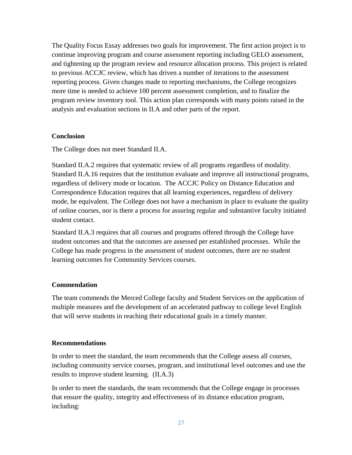The Quality Focus Essay addresses two goals for improvement. The first action project is to continue improving program and course assessment reporting including GELO assessment, and tightening up the program review and resource allocation process. This project is related to previous ACCJC review, which has driven a number of iterations to the assessment reporting process. Given changes made to reporting mechanisms, the College recognizes more time is needed to achieve 100 percent assessment completion, and to finalize the program review inventory tool. This action plan corresponds with many points raised in the analysis and evaluation sections in II.A and other parts of the report.

### **Conclusion**

The College does not meet Standard II.A.

Standard II.A.2 requires that systematic review of all programs regardless of modality. Standard II.A.16 requires that the institution evaluate and improve all instructional programs, regardless of delivery mode or location. The ACCJC Policy on Distance Education and Correspondence Education requires that all learning experiences, regardless of delivery mode, be equivalent. The College does not have a mechanism in place to evaluate the quality of online courses, nor is there a process for assuring regular and substantive faculty initiated student contact.

Standard II.A.3 requires that all courses and programs offered through the College have student outcomes and that the outcomes are assessed per established processes. While the College has made progress in the assessment of student outcomes, there are no student learning outcomes for Community Services courses.

#### **Commendation**

The team commends the Merced College faculty and Student Services on the application of multiple measures and the development of an accelerated pathway to college level English that will serve students in reaching their educational goals in a timely manner.

#### **Recommendations**

In order to meet the standard, the team recommends that the College assess all courses, including community service courses, program, and institutional level outcomes and use the results to improve student learning. (II.A.3)

In order to meet the standards, the team recommends that the College engage in processes that ensure the quality, integrity and effectiveness of its distance education program, including: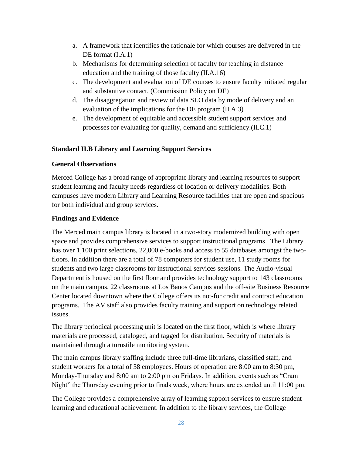- a. A framework that identifies the rationale for which courses are delivered in the DE format  $(I.A.1)$
- b. Mechanisms for determining selection of faculty for teaching in distance education and the training of those faculty (II.A.16)
- c. The development and evaluation of DE courses to ensure faculty initiated regular and substantive contact. (Commission Policy on DE)
- d. The disaggregation and review of data SLO data by mode of delivery and an evaluation of the implications for the DE program (II.A.3)
- e. The development of equitable and accessible student support services and processes for evaluating for quality, demand and sufficiency.(II.C.1)

## **Standard II.B Library and Learning Support Services**

## **General Observations**

Merced College has a broad range of appropriate library and learning resources to support student learning and faculty needs regardless of location or delivery modalities. Both campuses have modern Library and Learning Resource facilities that are open and spacious for both individual and group services.

## **Findings and Evidence**

The Merced main campus library is located in a two-story modernized building with open space and provides comprehensive services to support instructional programs. The Library has over 1,100 print selections, 22,000 e-books and access to 55 databases amongst the twofloors. In addition there are a total of 78 computers for student use, 11 study rooms for students and two large classrooms for instructional services sessions. The Audio-visual Department is housed on the first floor and provides technology support to 143 classrooms on the main campus, 22 classrooms at Los Banos Campus and the off-site Business Resource Center located downtown where the College offers its not-for credit and contract education programs. The AV staff also provides faculty training and support on technology related issues.

The library periodical processing unit is located on the first floor, which is where library materials are processed, cataloged, and tagged for distribution. Security of materials is maintained through a turnstile monitoring system.

The main campus library staffing include three full-time librarians, classified staff, and student workers for a total of 38 employees. Hours of operation are 8:00 am to 8:30 pm, Monday-Thursday and 8:00 am to 2:00 pm on Fridays. In addition, events such as "Cram Night" the Thursday evening prior to finals week, where hours are extended until 11:00 pm.

The College provides a comprehensive array of learning support services to ensure student learning and educational achievement. In addition to the library services, the College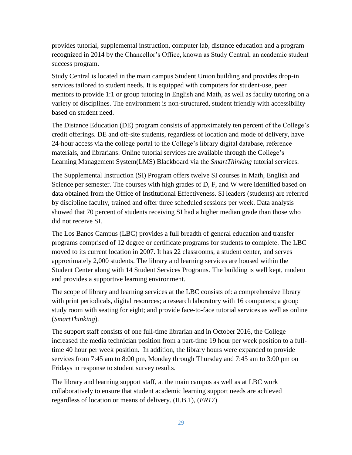provides tutorial, supplemental instruction, computer lab, distance education and a program recognized in 2014 by the Chancellor's Office, known as Study Central, an academic student success program.

Study Central is located in the main campus Student Union building and provides drop-in services tailored to student needs. It is equipped with computers for student-use, peer mentors to provide 1:1 or group tutoring in English and Math, as well as faculty tutoring on a variety of disciplines. The environment is non-structured, student friendly with accessibility based on student need.

The Distance Education (DE) program consists of approximately ten percent of the College's credit offerings. DE and off-site students, regardless of location and mode of delivery, have 24-hour access via the college portal to the College's library digital database, reference materials, and librarians. Online tutorial services are available through the College's Learning Management System(LMS) Blackboard via the *SmartThinking* tutorial services.

The Supplemental Instruction (SI) Program offers twelve SI courses in Math, English and Science per semester. The courses with high grades of D, F, and W were identified based on data obtained from the Office of Institutional Effectiveness. SI leaders (students) are referred by discipline faculty, trained and offer three scheduled sessions per week. Data analysis showed that 70 percent of students receiving SI had a higher median grade than those who did not receive SI.

The Los Banos Campus (LBC) provides a full breadth of general education and transfer programs comprised of 12 degree or certificate programs for students to complete. The LBC moved to its current location in 2007. It has 22 classrooms, a student center, and serves approximately 2,000 students. The library and learning services are housed within the Student Center along with 14 Student Services Programs. The building is well kept, modern and provides a supportive learning environment.

The scope of library and learning services at the LBC consists of: a comprehensive library with print periodicals, digital resources; a research laboratory with 16 computers; a group study room with seating for eight; and provide face-to-face tutorial services as well as online (*SmartThinking*).

The support staff consists of one full-time librarian and in October 2016, the College increased the media technician position from a part-time 19 hour per week position to a fulltime 40 hour per week position. In addition, the library hours were expanded to provide services from 7:45 am to 8:00 pm, Monday through Thursday and 7:45 am to 3:00 pm on Fridays in response to student survey results.

The library and learning support staff, at the main campus as well as at LBC work collaboratively to ensure that student academic learning support needs are achieved regardless of location or means of delivery. (II.B.1), (*ER17*)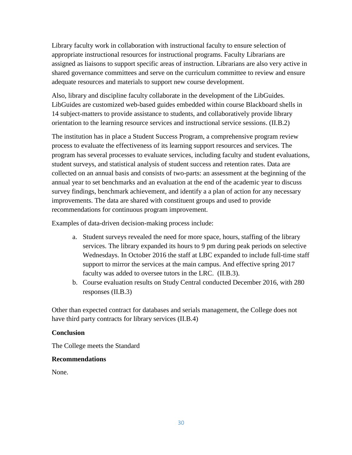Library faculty work in collaboration with instructional faculty to ensure selection of appropriate instructional resources for instructional programs. Faculty Librarians are assigned as liaisons to support specific areas of instruction. Librarians are also very active in shared governance committees and serve on the curriculum committee to review and ensure adequate resources and materials to support new course development.

Also, library and discipline faculty collaborate in the development of the LibGuides. LibGuides are customized web-based guides embedded within course Blackboard shells in 14 subject-matters to provide assistance to students, and collaboratively provide library orientation to the learning resource services and instructional service sessions. (II.B.2)

The institution has in place a Student Success Program, a comprehensive program review process to evaluate the effectiveness of its learning support resources and services. The program has several processes to evaluate services, including faculty and student evaluations, student surveys, and statistical analysis of student success and retention rates. Data are collected on an annual basis and consists of two-parts: an assessment at the beginning of the annual year to set benchmarks and an evaluation at the end of the academic year to discuss survey findings, benchmark achievement, and identify a a plan of action for any necessary improvements. The data are shared with constituent groups and used to provide recommendations for continuous program improvement.

Examples of data-driven decision-making process include:

- a. Student surveys revealed the need for more space, hours, staffing of the library services. The library expanded its hours to 9 pm during peak periods on selective Wednesdays. In October 2016 the staff at LBC expanded to include full-time staff support to mirror the services at the main campus. And effective spring 2017 faculty was added to oversee tutors in the LRC. (II.B.3).
- b. Course evaluation results on Study Central conducted December 2016, with 280 responses (II.B.3)

Other than expected contract for databases and serials management, the College does not have third party contracts for library services (II.B.4)

## **Conclusion**

The College meets the Standard

### **Recommendations**

None.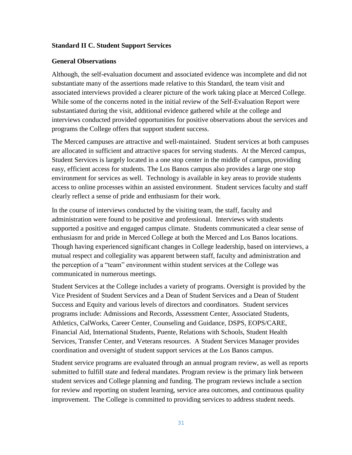### **Standard II C. Student Support Services**

#### **General Observations**

Although, the self-evaluation document and associated evidence was incomplete and did not substantiate many of the assertions made relative to this Standard, the team visit and associated interviews provided a clearer picture of the work taking place at Merced College. While some of the concerns noted in the initial review of the Self-Evaluation Report were substantiated during the visit, additional evidence gathered while at the college and interviews conducted provided opportunities for positive observations about the services and programs the College offers that support student success.

The Merced campuses are attractive and well-maintained. Student services at both campuses are allocated in sufficient and attractive spaces for serving students. At the Merced campus, Student Services is largely located in a one stop center in the middle of campus, providing easy, efficient access for students. The Los Banos campus also provides a large one stop environment for services as well. Technology is available in key areas to provide students access to online processes within an assisted environment. Student services faculty and staff clearly reflect a sense of pride and enthusiasm for their work.

In the course of interviews conducted by the visiting team, the staff, faculty and administration were found to be positive and professional. Interviews with students supported a positive and engaged campus climate. Students communicated a clear sense of enthusiasm for and pride in Merced College at both the Merced and Los Banos locations. Though having experienced significant changes in College leadership, based on interviews, a mutual respect and collegiality was apparent between staff, faculty and administration and the perception of a "team" environment within student services at the College was communicated in numerous meetings.

Student Services at the College includes a variety of programs. Oversight is provided by the Vice President of Student Services and a Dean of Student Services and a Dean of Student Success and Equity and various levels of directors and coordinators. Student services programs include: Admissions and Records, Assessment Center, Associated Students, Athletics, CalWorks, Career Center, Counseling and Guidance, DSPS, EOPS/CARE, Financial Aid, International Students, Puente, Relations with Schools, Student Health Services, Transfer Center, and Veterans resources. A Student Services Manager provides coordination and oversight of student support services at the Los Banos campus.

Student service programs are evaluated through an annual program review, as well as reports submitted to fulfill state and federal mandates. Program review is the primary link between student services and College planning and funding. The program reviews include a section for review and reporting on student learning, service area outcomes, and continuous quality improvement. The College is committed to providing services to address student needs.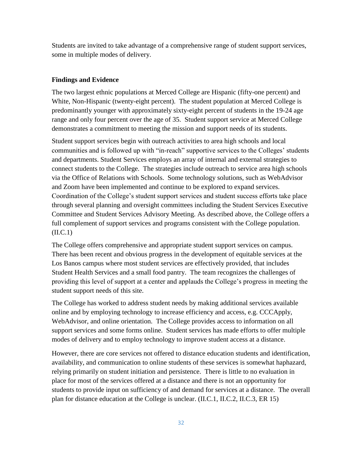Students are invited to take advantage of a comprehensive range of student support services, some in multiple modes of delivery.

### **Findings and Evidence**

The two largest ethnic populations at Merced College are Hispanic (fifty-one percent) and White, Non-Hispanic (twenty-eight percent). The student population at Merced College is predominantly younger with approximately sixty-eight percent of students in the 19-24 age range and only four percent over the age of 35. Student support service at Merced College demonstrates a commitment to meeting the mission and support needs of its students.

Student support services begin with outreach activities to area high schools and local communities and is followed up with "in-reach" supportive services to the Colleges' students and departments. Student Services employs an array of internal and external strategies to connect students to the College. The strategies include outreach to service area high schools via the Office of Relations with Schools. Some technology solutions, such as WebAdvisor and Zoom have been implemented and continue to be explored to expand services. Coordination of the College's student support services and student success efforts take place through several planning and oversight committees including the Student Services Executive Committee and Student Services Advisory Meeting. As described above, the College offers a full complement of support services and programs consistent with the College population. (II.C.1)

The College offers comprehensive and appropriate student support services on campus. There has been recent and obvious progress in the development of equitable services at the Los Banos campus where most student services are effectively provided, that includes Student Health Services and a small food pantry. The team recognizes the challenges of providing this level of support at a center and applauds the College's progress in meeting the student support needs of this site.

The College has worked to address student needs by making additional services available online and by employing technology to increase efficiency and access, e.g. CCCApply, WebAdvisor, and online orientation. The College provides access to information on all support services and some forms online. Student services has made efforts to offer multiple modes of delivery and to employ technology to improve student access at a distance.

However, there are core services not offered to distance education students and identification, availability, and communication to online students of these services is somewhat haphazard, relying primarily on student initiation and persistence. There is little to no evaluation in place for most of the services offered at a distance and there is not an opportunity for students to provide input on sufficiency of and demand for services at a distance. The overall plan for distance education at the College is unclear. (II.C.1, II.C.2, II.C.3, ER 15)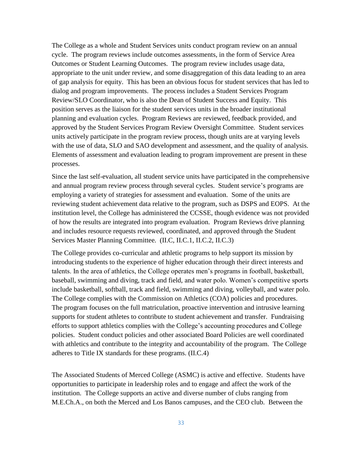The College as a whole and Student Services units conduct program review on an annual cycle. The program reviews include outcomes assessments, in the form of Service Area Outcomes or Student Learning Outcomes. The program review includes usage data, appropriate to the unit under review, and some disaggregation of this data leading to an area of gap analysis for equity. This has been an obvious focus for student services that has led to dialog and program improvements. The process includes a Student Services Program Review/SLO Coordinator, who is also the Dean of Student Success and Equity. This position serves as the liaison for the student services units in the broader institutional planning and evaluation cycles. Program Reviews are reviewed, feedback provided, and approved by the Student Services Program Review Oversight Committee. Student services units actively participate in the program review process, though units are at varying levels with the use of data, SLO and SAO development and assessment, and the quality of analysis. Elements of assessment and evaluation leading to program improvement are present in these processes.

Since the last self-evaluation, all student service units have participated in the comprehensive and annual program review process through several cycles. Student service's programs are employing a variety of strategies for assessment and evaluation. Some of the units are reviewing student achievement data relative to the program, such as DSPS and EOPS. At the institution level, the College has administered the CCSSE, though evidence was not provided of how the results are integrated into program evaluation. Program Reviews drive planning and includes resource requests reviewed, coordinated, and approved through the Student Services Master Planning Committee. (II.C, II.C.1, II.C.2, II.C.3)

The College provides co-curricular and athletic programs to help support its mission by introducing students to the experience of higher education through their direct interests and talents. In the area of athletics, the College operates men's programs in football, basketball, baseball, swimming and diving, track and field, and water polo. Women's competitive sports include basketball, softball, track and field, swimming and diving, volleyball, and water polo. The College complies with the Commission on Athletics (COA) policies and procedures. The program focuses on the full matriculation, proactive intervention and intrusive learning supports for student athletes to contribute to student achievement and transfer. Fundraising efforts to support athletics complies with the College's accounting procedures and College policies. Student conduct policies and other associated Board Policies are well coordinated with athletics and contribute to the integrity and accountability of the program. The College adheres to Title IX standards for these programs. (II.C.4)

The Associated Students of Merced College (ASMC) is active and effective. Students have opportunities to participate in leadership roles and to engage and affect the work of the institution. The College supports an active and diverse number of clubs ranging from M.E.Ch.A., on both the Merced and Los Banos campuses, and the CEO club. Between the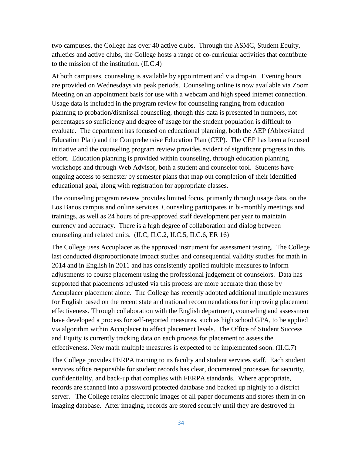two campuses, the College has over 40 active clubs. Through the ASMC, Student Equity, athletics and active clubs, the College hosts a range of co-curricular activities that contribute to the mission of the institution. (II.C.4)

At both campuses, counseling is available by appointment and via drop-in. Evening hours are provided on Wednesdays via peak periods. Counseling online is now available via Zoom Meeting on an appointment basis for use with a webcam and high speed internet connection. Usage data is included in the program review for counseling ranging from education planning to probation/dismissal counseling, though this data is presented in numbers, not percentages so sufficiency and degree of usage for the student population is difficult to evaluate. The department has focused on educational planning, both the AEP (Abbreviated Education Plan) and the Comprehensive Education Plan (CEP). The CEP has been a focused initiative and the counseling program review provides evident of significant progress in this effort. Education planning is provided within counseling, through education planning workshops and through Web Advisor, both a student and counselor tool. Students have ongoing access to semester by semester plans that map out completion of their identified educational goal, along with registration for appropriate classes.

The counseling program review provides limited focus, primarily through usage data, on the Los Banos campus and online services. Counseling participates in bi-monthly meetings and trainings, as well as 24 hours of pre-approved staff development per year to maintain currency and accuracy. There is a high degree of collaboration and dialog between counseling and related units. (II.C, II.C.2, II.C.5, II.C.6, ER 16)

The College uses Accuplacer as the approved instrument for assessment testing. The College last conducted disproportionate impact studies and consequential validity studies for math in 2014 and in English in 2011 and has consistently applied multiple measures to inform adjustments to course placement using the professional judgement of counselors. Data has supported that placements adjusted via this process are more accurate than those by Accuplacer placement alone. The College has recently adopted additional multiple measures for English based on the recent state and national recommendations for improving placement effectiveness. Through collaboration with the English department, counseling and assessment have developed a process for self-reported measures, such as high school GPA, to be applied via algorithm within Accuplacer to affect placement levels. The Office of Student Success and Equity is currently tracking data on each process for placement to assess the effectiveness. New math multiple measures is expected to be implemented soon. (II.C.7)

The College provides FERPA training to its faculty and student services staff. Each student services office responsible for student records has clear, documented processes for security, confidentiality, and back-up that complies with FERPA standards. Where appropriate, records are scanned into a password protected database and backed up nightly to a district server. The College retains electronic images of all paper documents and stores them in on imaging database. After imaging, records are stored securely until they are destroyed in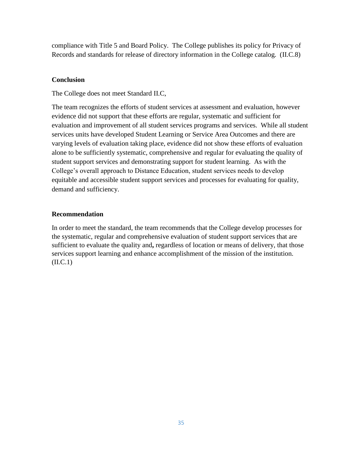compliance with Title 5 and Board Policy. The College publishes its policy for Privacy of Records and standards for release of directory information in the College catalog. (II.C.8)

## **Conclusion**

The College does not meet Standard II.C,

The team recognizes the efforts of student services at assessment and evaluation, however evidence did not support that these efforts are regular, systematic and sufficient for evaluation and improvement of all student services programs and services. While all student services units have developed Student Learning or Service Area Outcomes and there are varying levels of evaluation taking place, evidence did not show these efforts of evaluation alone to be sufficiently systematic, comprehensive and regular for evaluating the quality of student support services and demonstrating support for student learning. As with the College's overall approach to Distance Education, student services needs to develop equitable and accessible student support services and processes for evaluating for quality, demand and sufficiency.

## **Recommendation**

In order to meet the standard, the team recommends that the College develop processes for the systematic, regular and comprehensive evaluation of student support services that are sufficient to evaluate the quality and**,** regardless of location or means of delivery, that those services support learning and enhance accomplishment of the mission of the institution.  $(II.C.1)$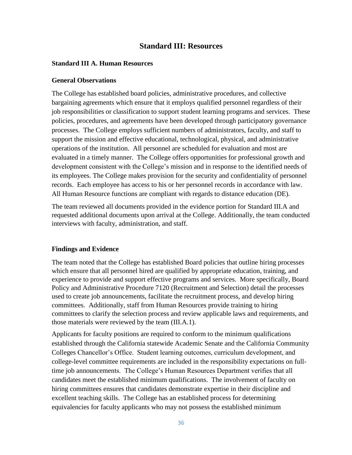## **Standard III: Resources**

### **Standard III A. Human Resources**

#### **General Observations**

The College has established board policies, administrative procedures, and collective bargaining agreements which ensure that it employs qualified personnel regardless of their job responsibilities or classification to support student learning programs and services. These policies, procedures, and agreements have been developed through participatory governance processes. The College employs sufficient numbers of administrators, faculty, and staff to support the mission and effective educational, technological, physical, and administrative operations of the institution. All personnel are scheduled for evaluation and most are evaluated in a timely manner. The College offers opportunities for professional growth and development consistent with the College's mission and in response to the identified needs of its employees. The College makes provision for the security and confidentiality of personnel records. Each employee has access to his or her personnel records in accordance with law. All Human Resource functions are compliant with regards to distance education (DE).

The team reviewed all documents provided in the evidence portion for Standard III.A and requested additional documents upon arrival at the College. Additionally, the team conducted interviews with faculty, administration, and staff.

### **Findings and Evidence**

The team noted that the College has established Board policies that outline hiring processes which ensure that all personnel hired are qualified by appropriate education, training, and experience to provide and support effective programs and services. More specifically, Board Policy and Administrative Procedure 7120 (Recruitment and Selection) detail the processes used to create job announcements, facilitate the recruitment process, and develop hiring committees. Additionally, staff from Human Resources provide training to hiring committees to clarify the selection process and review applicable laws and requirements, and those materials were reviewed by the team (III.A.1).

Applicants for faculty positions are required to conform to the minimum qualifications established through the California statewide Academic Senate and the California Community Colleges Chancellor's Office. Student learning outcomes, curriculum development, and college-level committee requirements are included in the responsibility expectations on fulltime job announcements. The College's Human Resources Department verifies that all candidates meet the established minimum qualifications. The involvement of faculty on hiring committees ensures that candidates demonstrate expertise in their discipline and excellent teaching skills. The College has an established process for determining equivalencies for faculty applicants who may not possess the established minimum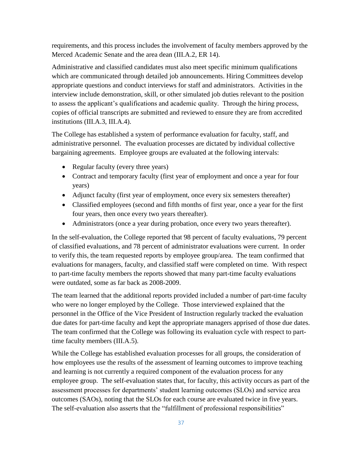requirements, and this process includes the involvement of faculty members approved by the Merced Academic Senate and the area dean (III.A.2, ER 14).

Administrative and classified candidates must also meet specific minimum qualifications which are communicated through detailed job announcements. Hiring Committees develop appropriate questions and conduct interviews for staff and administrators. Activities in the interview include demonstration, skill, or other simulated job duties relevant to the position to assess the applicant's qualifications and academic quality. Through the hiring process, copies of official transcripts are submitted and reviewed to ensure they are from accredited institutions (III.A.3, III.A.4).

The College has established a system of performance evaluation for faculty, staff, and administrative personnel. The evaluation processes are dictated by individual collective bargaining agreements. Employee groups are evaluated at the following intervals:

- Regular faculty (every three years)
- Contract and temporary faculty (first year of employment and once a year for four years)
- Adjunct faculty (first year of employment, once every six semesters thereafter)
- Classified employees (second and fifth months of first year, once a year for the first four years, then once every two years thereafter).
- Administrators (once a year during probation, once every two years thereafter).

In the self-evaluation, the College reported that 98 percent of faculty evaluations, 79 percent of classified evaluations, and 78 percent of administrator evaluations were current. In order to verify this, the team requested reports by employee group/area. The team confirmed that evaluations for managers, faculty, and classified staff were completed on time. With respect to part-time faculty members the reports showed that many part-time faculty evaluations were outdated, some as far back as 2008-2009.

The team learned that the additional reports provided included a number of part-time faculty who were no longer employed by the College. Those interviewed explained that the personnel in the Office of the Vice President of Instruction regularly tracked the evaluation due dates for part-time faculty and kept the appropriate managers apprised of those due dates. The team confirmed that the College was following its evaluation cycle with respect to parttime faculty members (III.A.5).

While the College has established evaluation processes for all groups, the consideration of how employees use the results of the assessment of learning outcomes to improve teaching and learning is not currently a required component of the evaluation process for any employee group. The self-evaluation states that, for faculty, this activity occurs as part of the assessment processes for departments' student learning outcomes (SLOs) and service area outcomes (SAOs), noting that the SLOs for each course are evaluated twice in five years. The self-evaluation also asserts that the "fulfillment of professional responsibilities"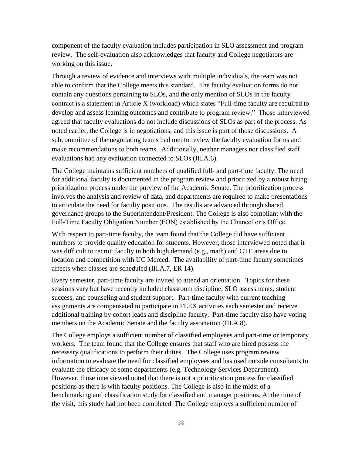component of the faculty evaluation includes participation in SLO assessment and program review. The self-evaluation also acknowledges that faculty and College negotiators are working on this issue.

Through a review of evidence and interviews with multiple individuals, the team was not able to confirm that the College meets this standard. The faculty evaluation forms do not contain any questions pertaining to SLOs, and the only mention of SLOs in the faculty contract is a statement in Article X (workload) which states "Full-time faculty are required to develop and assess learning outcomes and contribute to program review." Those interviewed agreed that faculty evaluations do not include discussions of SLOs as part of the process. As noted earlier, the College is in negotiations, and this issue is part of those discussions. A subcommittee of the negotiating teams had met to review the faculty evaluation forms and make recommendations to both teams. Additionally, neither managers nor classified staff evaluations had any evaluation connected to SLOs (III.A.6).

The College maintains sufficient numbers of qualified full- and part-time faculty. The need for additional faculty is documented in the program review and prioritized by a robust hiring prioritization process under the purview of the Academic Senate. The prioritization process involves the analysis and review of data, and departments are required to make presentations to articulate the need for faculty positions. The results are advanced through shared governance groups to the Superintendent/President. The College is also compliant with the Full-Time Faculty Obligation Number (FON) established by the Chancellor's Office.

With respect to part-time faculty, the team found that the College did have sufficient numbers to provide quality education for students. However, those interviewed noted that it was difficult to recruit faculty in both high demand (e.g., math) and CTE areas due to location and competition with UC Merced. The availability of part-time faculty sometimes affects when classes are scheduled (III.A.7, ER 14).

Every semester, part-time faculty are invited to attend an orientation. Topics for these sessions vary but have recently included classroom discipline, SLO assessments, student success, and counseling and student support. Part-time faculty with current teaching assignments are compensated to participate in FLEX activities each semester and receive additional training by cohort leads and discipline faculty. Part-time faculty also have voting members on the Academic Senate and the faculty association (III.A.8).

The College employs a sufficient number of classified employees and part-time or temporary workers. The team found that the College ensures that staff who are hired possess the necessary qualifications to perform their duties. The College uses program review information to evaluate the need for classified employees and has used outside consultants to evaluate the efficacy of some departments (e.g. Technology Services Department). However, those interviewed noted that there is not a prioritization process for classified positions as there is with faculty positions. The College is also in the midst of a benchmarking and classification study for classified and manager positions. At the time of the visit, this study had not been completed. The College employs a sufficient number of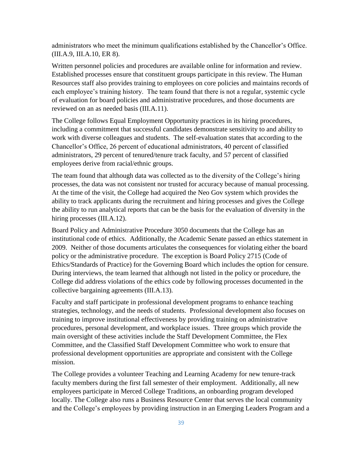administrators who meet the minimum qualifications established by the Chancellor's Office. (III.A.9, III.A.10, ER 8).

Written personnel policies and procedures are available online for information and review. Established processes ensure that constituent groups participate in this review. The Human Resources staff also provides training to employees on core policies and maintains records of each employee's training history. The team found that there is not a regular, systemic cycle of evaluation for board policies and administrative procedures, and those documents are reviewed on an as needed basis (III.A.11).

The College follows Equal Employment Opportunity practices in its hiring procedures, including a commitment that successful candidates demonstrate sensitivity to and ability to work with diverse colleagues and students. The self-evaluation states that according to the Chancellor's Office, 26 percent of educational administrators, 40 percent of classified administrators, 29 percent of tenured/tenure track faculty, and 57 percent of classified employees derive from racial/ethnic groups.

The team found that although data was collected as to the diversity of the College's hiring processes, the data was not consistent nor trusted for accuracy because of manual processing. At the time of the visit, the College had acquired the Neo Gov system which provides the ability to track applicants during the recruitment and hiring processes and gives the College the ability to run analytical reports that can be the basis for the evaluation of diversity in the hiring processes *(III.A.12)*.

Board Policy and Administrative Procedure 3050 documents that the College has an institutional code of ethics. Additionally, the Academic Senate passed an ethics statement in 2009. Neither of those documents articulates the consequences for violating either the board policy or the administrative procedure. The exception is Board Policy 2715 (Code of Ethics/Standards of Practice) for the Governing Board which includes the option for censure. During interviews, the team learned that although not listed in the policy or procedure, the College did address violations of the ethics code by following processes documented in the collective bargaining agreements (III.A.13).

Faculty and staff participate in professional development programs to enhance teaching strategies, technology, and the needs of students. Professional development also focuses on training to improve institutional effectiveness by providing training on administrative procedures, personal development, and workplace issues. Three groups which provide the main oversight of these activities include the Staff Development Committee, the Flex Committee, and the Classified Staff Development Committee who work to ensure that professional development opportunities are appropriate and consistent with the College mission.

The College provides a volunteer Teaching and Learning Academy for new tenure-track faculty members during the first fall semester of their employment. Additionally, all new employees participate in Merced College Traditions, an onboarding program developed locally. The College also runs a Business Resource Center that serves the local community and the College's employees by providing instruction in an Emerging Leaders Program and a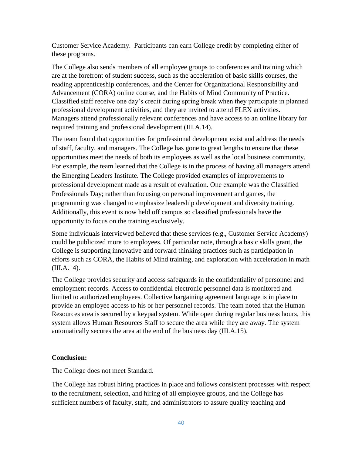Customer Service Academy. Participants can earn College credit by completing either of these programs.

The College also sends members of all employee groups to conferences and training which are at the forefront of student success, such as the acceleration of basic skills courses, the reading apprenticeship conferences, and the Center for Organizational Responsibility and Advancement (CORA) online course, and the Habits of Mind Community of Practice. Classified staff receive one day's credit during spring break when they participate in planned professional development activities, and they are invited to attend FLEX activities. Managers attend professionally relevant conferences and have access to an online library for required training and professional development (III.A.14).

The team found that opportunities for professional development exist and address the needs of staff, faculty, and managers. The College has gone to great lengths to ensure that these opportunities meet the needs of both its employees as well as the local business community. For example, the team learned that the College is in the process of having all managers attend the Emerging Leaders Institute. The College provided examples of improvements to professional development made as a result of evaluation. One example was the Classified Professionals Day; rather than focusing on personal improvement and games, the programming was changed to emphasize leadership development and diversity training. Additionally, this event is now held off campus so classified professionals have the opportunity to focus on the training exclusively.

Some individuals interviewed believed that these services (e.g., Customer Service Academy) could be publicized more to employees. Of particular note, through a basic skills grant, the College is supporting innovative and forward thinking practices such as participation in efforts such as CORA, the Habits of Mind training, and exploration with acceleration in math (III.A.14).

The College provides security and access safeguards in the confidentiality of personnel and employment records. Access to confidential electronic personnel data is monitored and limited to authorized employees. Collective bargaining agreement language is in place to provide an employee access to his or her personnel records. The team noted that the Human Resources area is secured by a keypad system. While open during regular business hours, this system allows Human Resources Staff to secure the area while they are away. The system automatically secures the area at the end of the business day (III.A.15).

## **Conclusion:**

The College does not meet Standard.

The College has robust hiring practices in place and follows consistent processes with respect to the recruitment, selection, and hiring of all employee groups, and the College has sufficient numbers of faculty, staff, and administrators to assure quality teaching and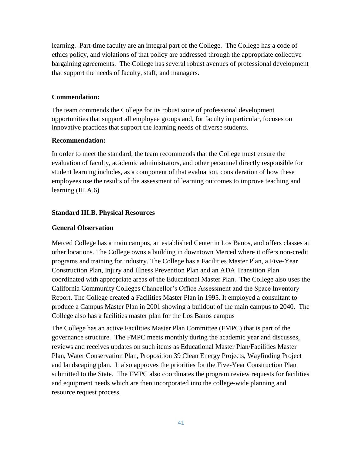learning. Part-time faculty are an integral part of the College. The College has a code of ethics policy, and violations of that policy are addressed through the appropriate collective bargaining agreements. The College has several robust avenues of professional development that support the needs of faculty, staff, and managers.

### **Commendation:**

The team commends the College for its robust suite of professional development opportunities that support all employee groups and, for faculty in particular, focuses on innovative practices that support the learning needs of diverse students.

#### **Recommendation:**

In order to meet the standard, the team recommends that the College must ensure the evaluation of faculty, academic administrators, and other personnel directly responsible for student learning includes, as a component of that evaluation, consideration of how these employees use the results of the assessment of learning outcomes to improve teaching and learning.(III.A.6)

### **Standard III.B. Physical Resources**

### **General Observation**

Merced College has a main campus, an established Center in Los Banos, and offers classes at other locations. The College owns a building in downtown Merced where it offers non-credit programs and training for industry. The College has a Facilities Master Plan, a Five-Year Construction Plan, Injury and Illness Prevention Plan and an ADA Transition Plan coordinated with appropriate areas of the Educational Master Plan. The College also uses the California Community Colleges Chancellor's Office Assessment and the Space Inventory Report. The College created a Facilities Master Plan in 1995. It employed a consultant to produce a Campus Master Plan in 2001 showing a buildout of the main campus to 2040. The College also has a facilities master plan for the Los Banos campus

The College has an active Facilities Master Plan Committee (FMPC) that is part of the governance structure. The FMPC meets monthly during the academic year and discusses, reviews and receives updates on such items as Educational Master Plan/Facilities Master Plan, Water Conservation Plan, Proposition 39 Clean Energy Projects, Wayfinding Project and landscaping plan. It also approves the priorities for the Five-Year Construction Plan submitted to the State. The FMPC also coordinates the program review requests for facilities and equipment needs which are then incorporated into the college-wide planning and resource request process.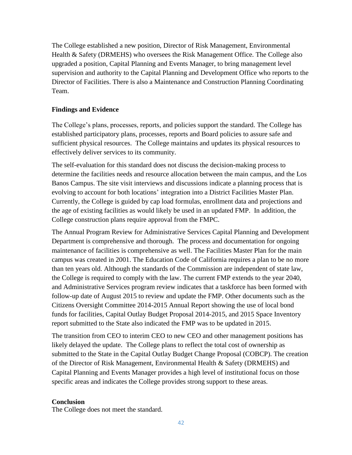The College established a new position, Director of Risk Management, Environmental Health & Safety (DRMEHS) who oversees the Risk Management Office. The College also upgraded a position, Capital Planning and Events Manager, to bring management level supervision and authority to the Capital Planning and Development Office who reports to the Director of Facilities. There is also a Maintenance and Construction Planning Coordinating Team.

## **Findings and Evidence**

The College's plans, processes, reports, and policies support the standard. The College has established participatory plans, processes, reports and Board policies to assure safe and sufficient physical resources. The College maintains and updates its physical resources to effectively deliver services to its community.

The self-evaluation for this standard does not discuss the decision-making process to determine the facilities needs and resource allocation between the main campus, and the Los Banos Campus. The site visit interviews and discussions indicate a planning process that is evolving to account for both locations' integration into a District Facilities Master Plan. Currently, the College is guided by cap load formulas, enrollment data and projections and the age of existing facilities as would likely be used in an updated FMP. In addition, the College construction plans require approval from the FMPC.

The Annual Program Review for Administrative Services Capital Planning and Development Department is comprehensive and thorough. The process and documentation for ongoing maintenance of facilities is comprehensive as well. The Facilities Master Plan for the main campus was created in 2001. The Education Code of California requires a plan to be no more than ten years old. Although the standards of the Commission are independent of state law, the College is required to comply with the law. The current FMP extends to the year 2040, and Administrative Services program review indicates that a taskforce has been formed with follow-up date of August 2015 to review and update the FMP. Other documents such as the Citizens Oversight Committee 2014-2015 Annual Report showing the use of local bond funds for facilities, Capital Outlay Budget Proposal 2014-2015, and 2015 Space Inventory report submitted to the State also indicated the FMP was to be updated in 2015.

The transition from CEO to interim CEO to new CEO and other management positions has likely delayed the update. The College plans to reflect the total cost of ownership as submitted to the State in the Capital Outlay Budget Change Proposal (COBCP). The creation of the Director of Risk Management, Environmental Health & Safety (DRMEHS) and Capital Planning and Events Manager provides a high level of institutional focus on those specific areas and indicates the College provides strong support to these areas.

## **Conclusion**

The College does not meet the standard.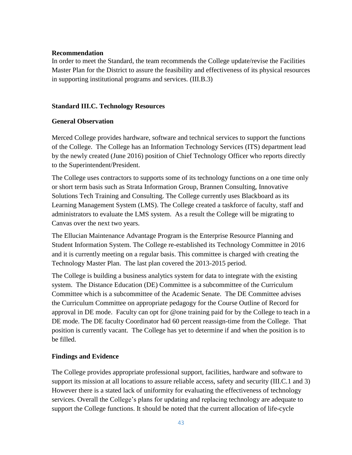### **Recommendation**

In order to meet the Standard, the team recommends the College update/revise the Facilities Master Plan for the District to assure the feasibility and effectiveness of its physical resources in supporting institutional programs and services. (III.B.3)

### **Standard III.C. Technology Resources**

### **General Observation**

Merced College provides hardware, software and technical services to support the functions of the College. The College has an Information Technology Services (ITS) department lead by the newly created (June 2016) position of Chief Technology Officer who reports directly to the Superintendent/President.

The College uses contractors to supports some of its technology functions on a one time only or short term basis such as Strata Information Group, Brannen Consulting, Innovative Solutions Tech Training and Consulting. The College currently uses Blackboard as its Learning Management System (LMS). The College created a taskforce of faculty, staff and administrators to evaluate the LMS system. As a result the College will be migrating to Canvas over the next two years.

The Ellucian Maintenance Advantage Program is the Enterprise Resource Planning and Student Information System. The College re-established its Technology Committee in 2016 and it is currently meeting on a regular basis. This committee is charged with creating the Technology Master Plan. The last plan covered the 2013-2015 period.

The College is building a business analytics system for data to integrate with the existing system. The Distance Education (DE) Committee is a subcommittee of the Curriculum Committee which is a subcommittee of the Academic Senate. The DE Committee advises the Curriculum Committee on appropriate pedagogy for the Course Outline of Record for approval in DE mode. Faculty can opt for @one training paid for by the College to teach in a DE mode. The DE faculty Coordinator had 60 percent reassign-time from the College. That position is currently vacant. The College has yet to determine if and when the position is to be filled.

## **Findings and Evidence**

The College provides appropriate professional support, facilities, hardware and software to support its mission at all locations to assure reliable access, safety and security (III.C.1 and 3) However there is a stated lack of uniformity for evaluating the effectiveness of technology services. Overall the College's plans for updating and replacing technology are adequate to support the College functions. It should be noted that the current allocation of life-cycle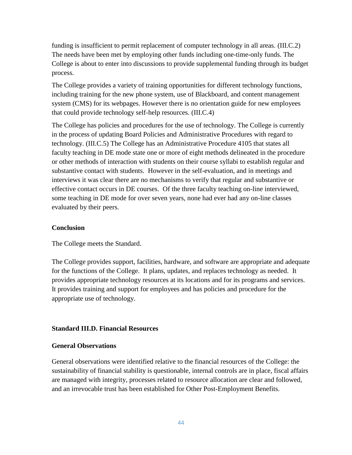funding is insufficient to permit replacement of computer technology in all areas. (III.C.2) The needs have been met by employing other funds including one-time-only funds. The College is about to enter into discussions to provide supplemental funding through its budget process.

The College provides a variety of training opportunities for different technology functions, including training for the new phone system, use of Blackboard, and content management system (CMS) for its webpages. However there is no orientation guide for new employees that could provide technology self-help resources. (III.C.4)

The College has policies and procedures for the use of technology. The College is currently in the process of updating Board Policies and Administrative Procedures with regard to technology. (III.C.5) The College has an Administrative Procedure 4105 that states all faculty teaching in DE mode state one or more of eight methods delineated in the procedure or other methods of interaction with students on their course syllabi to establish regular and substantive contact with students. However in the self-evaluation, and in meetings and interviews it was clear there are no mechanisms to verify that regular and substantive or effective contact occurs in DE courses. Of the three faculty teaching on-line interviewed, some teaching in DE mode for over seven years, none had ever had any on-line classes evaluated by their peers.

### **Conclusion**

The College meets the Standard.

The College provides support, facilities, hardware, and software are appropriate and adequate for the functions of the College. It plans, updates, and replaces technology as needed. It provides appropriate technology resources at its locations and for its programs and services. It provides training and support for employees and has policies and procedure for the appropriate use of technology.

### **Standard III.D. Financial Resources**

### **General Observations**

General observations were identified relative to the financial resources of the College: the sustainability of financial stability is questionable, internal controls are in place, fiscal affairs are managed with integrity, processes related to resource allocation are clear and followed, and an irrevocable trust has been established for Other Post-Employment Benefits.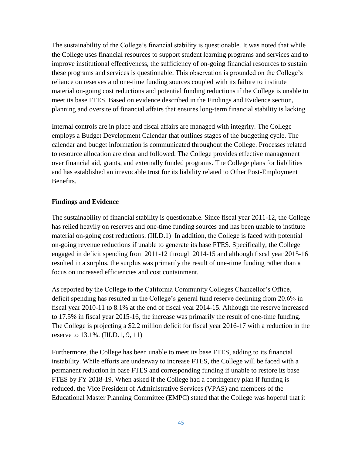The sustainability of the College's financial stability is questionable. It was noted that while the College uses financial resources to support student learning programs and services and to improve institutional effectiveness, the sufficiency of on-going financial resources to sustain these programs and services is questionable. This observation is grounded on the College's reliance on reserves and one-time funding sources coupled with its failure to institute material on-going cost reductions and potential funding reductions if the College is unable to meet its base FTES. Based on evidence described in the Findings and Evidence section, planning and oversite of financial affairs that ensures long-term financial stability is lacking

Internal controls are in place and fiscal affairs are managed with integrity. The College employs a Budget Development Calendar that outlines stages of the budgeting cycle. The calendar and budget information is communicated throughout the College. Processes related to resource allocation are clear and followed. The College provides effective management over financial aid, grants, and externally funded programs. The College plans for liabilities and has established an irrevocable trust for its liability related to Other Post-Employment Benefits.

### **Findings and Evidence**

The sustainability of financial stability is questionable. Since fiscal year 2011-12, the College has relied heavily on reserves and one-time funding sources and has been unable to institute material on-going cost reductions. (III.D.1) In addition, the College is faced with potential on-going revenue reductions if unable to generate its base FTES. Specifically, the College engaged in deficit spending from 2011-12 through 2014-15 and although fiscal year 2015-16 resulted in a surplus, the surplus was primarily the result of one-time funding rather than a focus on increased efficiencies and cost containment.

As reported by the College to the California Community Colleges Chancellor's Office, deficit spending has resulted in the College's general fund reserve declining from 20.6% in fiscal year 2010-11 to 8.1% at the end of fiscal year 2014-15. Although the reserve increased to 17.5% in fiscal year 2015-16, the increase was primarily the result of one-time funding. The College is projecting a \$2.2 million deficit for fiscal year 2016-17 with a reduction in the reserve to 13.1%. (III.D.1, 9, 11)

Furthermore, the College has been unable to meet its base FTES, adding to its financial instability. While efforts are underway to increase FTES, the College will be faced with a permanent reduction in base FTES and corresponding funding if unable to restore its base FTES by FY 2018-19. When asked if the College had a contingency plan if funding is reduced, the Vice President of Administrative Services (VPAS) and members of the Educational Master Planning Committee (EMPC) stated that the College was hopeful that it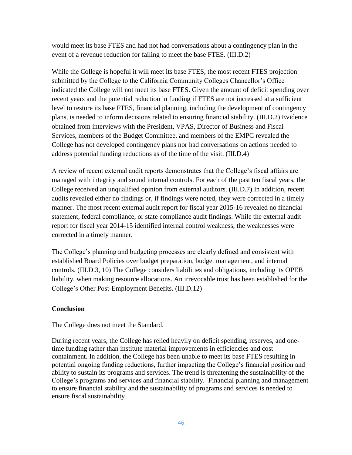would meet its base FTES and had not had conversations about a contingency plan in the event of a revenue reduction for failing to meet the base FTES. (III.D.2)

While the College is hopeful it will meet its base FTES, the most recent FTES projection submitted by the College to the California Community Colleges Chancellor's Office indicated the College will not meet its base FTES. Given the amount of deficit spending over recent years and the potential reduction in funding if FTES are not increased at a sufficient level to restore its base FTES, financial planning, including the development of contingency plans, is needed to inform decisions related to ensuring financial stability. (III.D.2) Evidence obtained from interviews with the President, VPAS, Director of Business and Fiscal Services, members of the Budget Committee, and members of the EMPC revealed the College has not developed contingency plans nor had conversations on actions needed to address potential funding reductions as of the time of the visit. (III.D.4)

A review of recent external audit reports demonstrates that the College's fiscal affairs are managed with integrity and sound internal controls. For each of the past ten fiscal years, the College received an unqualified opinion from external auditors. (III.D.7) In addition, recent audits revealed either no findings or, if findings were noted, they were corrected in a timely manner. The most recent external audit report for fiscal year 2015-16 revealed no financial statement, federal compliance, or state compliance audit findings. While the external audit report for fiscal year 2014-15 identified internal control weakness, the weaknesses were corrected in a timely manner.

The College's planning and budgeting processes are clearly defined and consistent with established Board Policies over budget preparation, budget management, and internal controls. (III.D.3, 10) The College considers liabilities and obligations, including its OPEB liability, when making resource allocations. An irrevocable trust has been established for the College's Other Post-Employment Benefits. (III.D.12)

### **Conclusion**

The College does not meet the Standard.

During recent years, the College has relied heavily on deficit spending, reserves, and onetime funding rather than institute material improvements in efficiencies and cost containment. In addition, the College has been unable to meet its base FTES resulting in potential ongoing funding reductions, further impacting the College's financial position and ability to sustain its programs and services. The trend is threatening the sustainability of the College's programs and services and financial stability. Financial planning and management to ensure financial stability and the sustainability of programs and services is needed to ensure fiscal sustainability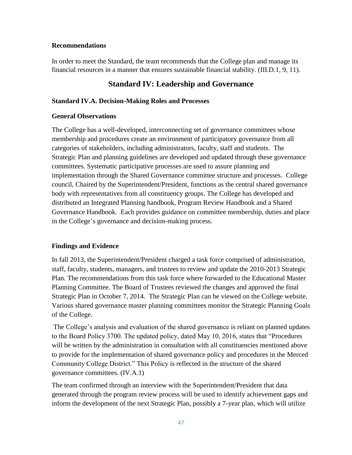### **Recommendations**

In order to meet the Standard, the team recommends that the College plan and manage its financial resources in a manner that ensures sustainable financial stability. (III.D.1, 9, 11).

## **Standard IV: Leadership and Governance**

### **Standard IV.A. Decision-Making Roles and Processes**

#### **General Observations**

The College has a well-developed, interconnecting set of governance committees whose membership and procedures create an environment of participatory governance from all categories of stakeholders, including administrators, faculty, staff and students. The Strategic Plan and planning guidelines are developed and updated through these governance committees. Systematic participative processes are used to assure planning and implementation through the Shared Governance committee structure and processes. College council, Chaired by the Superintendent/President, functions as the central shared governance body with representatives from all constituency groups. The College has developed and distributed an Integrated Planning handbook, Program Review Handbook and a Shared Governance Handbook. Each provides guidance on committee membership, duties and place in the College's governance and decision-making process.

### **Findings and Evidence**

In fall 2013, the Superintendent/President charged a task force comprised of administration, staff, faculty, students, managers, and trustees to review and update the 2010-2013 Strategic Plan. The recommendations from this task force where forwarded to the Educational Master Planning Committee. The Board of Trustees reviewed the changes and approved the final Strategic Plan in October 7, 2014. The Strategic Plan can be viewed on the College website. Various shared governance master planning committees monitor the Strategic Planning Goals of the College.

The College's analysis and evaluation of the shared governance is reliant on planned updates to the Board Policy 3700. The updated policy, dated May 10, 2016, states that "Procedures will be written by the administration in consultation with all constituencies mentioned above to provide for the implementation of shared governance policy and procedures in the Merced Community College District." This Policy is reflected in the structure of the shared governance committees. (IV.A.1)

The team confirmed through an interview with the Superintendent/President that data generated through the program review process will be used to identify achievement gaps and inform the development of the next Strategic Plan, possibly a 7-year plan, which will utilize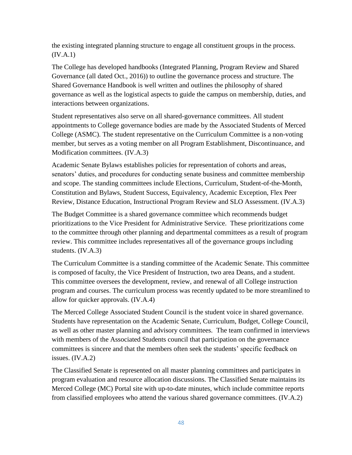the existing integrated planning structure to engage all constituent groups in the process.  $(IV.A.1)$ 

The College has developed handbooks (Integrated Planning, Program Review and Shared Governance (all dated Oct., 2016)) to outline the governance process and structure. The Shared Governance Handbook is well written and outlines the philosophy of shared governance as well as the logistical aspects to guide the campus on membership, duties, and interactions between organizations.

Student representatives also serve on all shared-governance committees. All student appointments to College governance bodies are made by the Associated Students of Merced College (ASMC). The student representative on the Curriculum Committee is a non-voting member, but serves as a voting member on all Program Establishment, Discontinuance, and Modification committees. (IV.A.3)

Academic Senate Bylaws establishes policies for representation of cohorts and areas, senators' duties, and procedures for conducting senate business and committee membership and scope. The standing committees include Elections, Curriculum, Student-of-the-Month, Constitution and Bylaws, Student Success, Equivalency, Academic Exception, Flex Peer Review, Distance Education, Instructional Program Review and SLO Assessment. (IV.A.3)

The Budget Committee is a shared governance committee which recommends budget prioritizations to the Vice President for Administrative Service. These prioritizations come to the committee through other planning and departmental committees as a result of program review. This committee includes representatives all of the governance groups including students. (IV.A.3)

The Curriculum Committee is a standing committee of the Academic Senate. This committee is composed of faculty, the Vice President of Instruction, two area Deans, and a student. This committee oversees the development, review, and renewal of all College instruction program and courses. The curriculum process was recently updated to be more streamlined to allow for quicker approvals. (IV.A.4)

The Merced College Associated Student Council is the student voice in shared governance. Students have representation on the Academic Senate, Curriculum, Budget, College Council, as well as other master planning and advisory committees. The team confirmed in interviews with members of the Associated Students council that participation on the governance committees is sincere and that the members often seek the students' specific feedback on issues. (IV.A.2)

The Classified Senate is represented on all master planning committees and participates in program evaluation and resource allocation discussions. The Classified Senate maintains its Merced College (MC) Portal site with up-to-date minutes, which include committee reports from classified employees who attend the various shared governance committees. (IV.A.2)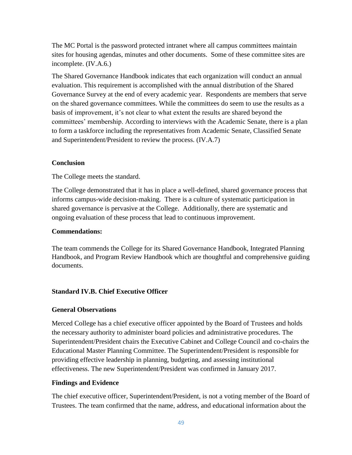The MC Portal is the password protected intranet where all campus committees maintain sites for housing agendas, minutes and other documents. Some of these committee sites are incomplete. (IV.A.6.)

The Shared Governance Handbook indicates that each organization will conduct an annual evaluation. This requirement is accomplished with the annual distribution of the Shared Governance Survey at the end of every academic year. Respondents are members that serve on the shared governance committees. While the committees do seem to use the results as a basis of improvement, it's not clear to what extent the results are shared beyond the committees' membership. According to interviews with the Academic Senate, there is a plan to form a taskforce including the representatives from Academic Senate, Classified Senate and Superintendent/President to review the process. (IV.A.7)

### **Conclusion**

The College meets the standard.

The College demonstrated that it has in place a well-defined, shared governance process that informs campus-wide decision-making. There is a culture of systematic participation in shared governance is pervasive at the College. Additionally, there are systematic and ongoing evaluation of these process that lead to continuous improvement.

### **Commendations:**

The team commends the College for its Shared Governance Handbook, Integrated Planning Handbook, and Program Review Handbook which are thoughtful and comprehensive guiding documents.

### **Standard IV.B. Chief Executive Officer**

### **General Observations**

Merced College has a chief executive officer appointed by the Board of Trustees and holds the necessary authority to administer board policies and administrative procedures. The Superintendent/President chairs the Executive Cabinet and College Council and co-chairs the Educational Master Planning Committee. The Superintendent/President is responsible for providing effective leadership in planning, budgeting, and assessing institutional effectiveness. The new Superintendent/President was confirmed in January 2017.

### **Findings and Evidence**

The chief executive officer, Superintendent/President, is not a voting member of the Board of Trustees. The team confirmed that the name, address, and educational information about the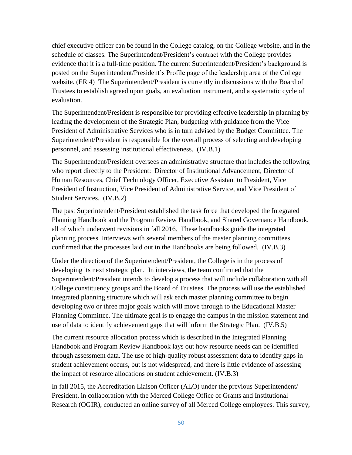chief executive officer can be found in the College catalog, on the College website, and in the schedule of classes. The Superintendent/President's contract with the College provides evidence that it is a full-time position. The current Superintendent/President's background is posted on the Superintendent/President's Profile page of the leadership area of the College website. (ER 4) The Superintendent/President is currently in discussions with the Board of Trustees to establish agreed upon goals, an evaluation instrument, and a systematic cycle of evaluation.

The Superintendent/President is responsible for providing effective leadership in planning by leading the development of the Strategic Plan, budgeting with guidance from the Vice President of Administrative Services who is in turn advised by the Budget Committee. The Superintendent/President is responsible for the overall process of selecting and developing personnel, and assessing institutional effectiveness. (IV.B.1)

The Superintendent/President oversees an administrative structure that includes the following who report directly to the President: Director of Institutional Advancement, Director of Human Resources, Chief Technology Officer, Executive Assistant to President, Vice President of Instruction, Vice President of Administrative Service, and Vice President of Student Services. (IV.B.2)

The past Superintendent/President established the task force that developed the Integrated Planning Handbook and the Program Review Handbook, and Shared Governance Handbook, all of which underwent revisions in fall 2016. These handbooks guide the integrated planning process. Interviews with several members of the master planning committees confirmed that the processes laid out in the Handbooks are being followed. (IV.B.3)

Under the direction of the Superintendent/President, the College is in the process of developing its next strategic plan. In interviews, the team confirmed that the Superintendent/President intends to develop a process that will include collaboration with all College constituency groups and the Board of Trustees. The process will use the established integrated planning structure which will ask each master planning committee to begin developing two or three major goals which will move through to the Educational Master Planning Committee. The ultimate goal is to engage the campus in the mission statement and use of data to identify achievement gaps that will inform the Strategic Plan. (IV.B.5)

The current resource allocation process which is described in the Integrated Planning Handbook and Program Review Handbook lays out how resource needs can be identified through assessment data. The use of high-quality robust assessment data to identify gaps in student achievement occurs, but is not widespread, and there is little evidence of assessing the impact of resource allocations on student achievement. (IV.B.3)

In fall 2015, the Accreditation Liaison Officer (ALO) under the previous Superintendent/ President, in collaboration with the Merced College Office of Grants and Institutional Research (OGIR), conducted an online survey of all Merced College employees. This survey,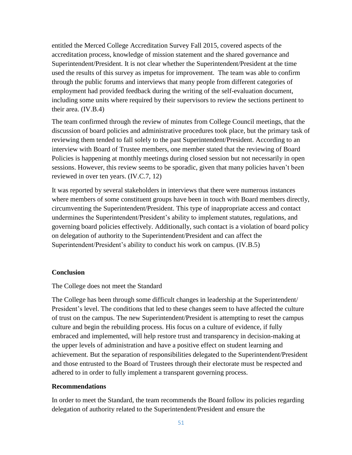entitled the Merced College Accreditation Survey Fall 2015, covered aspects of the accreditation process, knowledge of mission statement and the shared governance and Superintendent/President. It is not clear whether the Superintendent/President at the time used the results of this survey as impetus for improvement. The team was able to confirm through the public forums and interviews that many people from different categories of employment had provided feedback during the writing of the self-evaluation document, including some units where required by their supervisors to review the sections pertinent to their area. (IV.B.4)

The team confirmed through the review of minutes from College Council meetings, that the discussion of board policies and administrative procedures took place, but the primary task of reviewing them tended to fall solely to the past Superintendent/President. According to an interview with Board of Trustee members, one member stated that the reviewing of Board Policies is happening at monthly meetings during closed session but not necessarily in open sessions. However, this review seems to be sporadic, given that many policies haven't been reviewed in over ten years. (IV.C.7, 12)

It was reported by several stakeholders in interviews that there were numerous instances where members of some constituent groups have been in touch with Board members directly, circumventing the Superintendent/President. This type of inappropriate access and contact undermines the Superintendent/President's ability to implement statutes, regulations, and governing board policies effectively. Additionally, such contact is a violation of board policy on delegation of authority to the Superintendent/President and can affect the Superintendent/President's ability to conduct his work on campus. (IV.B.5)

## **Conclusion**

The College does not meet the Standard

The College has been through some difficult changes in leadership at the Superintendent/ President's level. The conditions that led to these changes seem to have affected the culture of trust on the campus. The new Superintendent/President is attempting to reset the campus culture and begin the rebuilding process. His focus on a culture of evidence, if fully embraced and implemented, will help restore trust and transparency in decision-making at the upper levels of administration and have a positive effect on student learning and achievement. But the separation of responsibilities delegated to the Superintendent/President and those entrusted to the Board of Trustees through their electorate must be respected and adhered to in order to fully implement a transparent governing process.

### **Recommendations**

In order to meet the Standard, the team recommends the Board follow its policies regarding delegation of authority related to the Superintendent/President and ensure the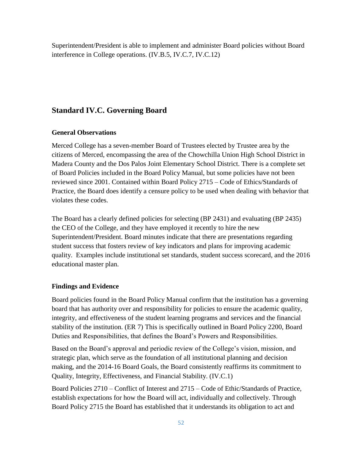Superintendent/President is able to implement and administer Board policies without Board interference in College operations. (IV.B.5, IV.C.7, IV.C.12)

# **Standard IV.C. Governing Board**

## **General Observations**

Merced College has a seven-member Board of Trustees elected by Trustee area by the citizens of Merced, encompassing the area of the Chowchilla Union High School District in Madera County and the Dos Palos Joint Elementary School District. There is a complete set of Board Policies included in the Board Policy Manual, but some policies have not been reviewed since 2001. Contained within Board Policy 2715 – Code of Ethics/Standards of Practice, the Board does identify a censure policy to be used when dealing with behavior that violates these codes.

The Board has a clearly defined policies for selecting (BP 2431) and evaluating (BP 2435) the CEO of the College, and they have employed it recently to hire the new Superintendent/President. Board minutes indicate that there are presentations regarding student success that fosters review of key indicators and plans for improving academic quality. Examples include institutional set standards, student success scorecard, and the 2016 educational master plan.

## **Findings and Evidence**

Board policies found in the Board Policy Manual confirm that the institution has a governing board that has authority over and responsibility for policies to ensure the academic quality, integrity, and effectiveness of the student learning programs and services and the financial stability of the institution. (ER 7) This is specifically outlined in Board Policy 2200, Board Duties and Responsibilities, that defines the Board's Powers and Responsibilities.

Based on the Board's approval and periodic review of the College's vision, mission, and strategic plan, which serve as the foundation of all institutional planning and decision making, and the 2014-16 Board Goals, the Board consistently reaffirms its commitment to Quality, Integrity, Effectiveness, and Financial Stability. (IV.C.1)

Board Policies 2710 – Conflict of Interest and 2715 – Code of Ethic/Standards of Practice, establish expectations for how the Board will act, individually and collectively. Through Board Policy 2715 the Board has established that it understands its obligation to act and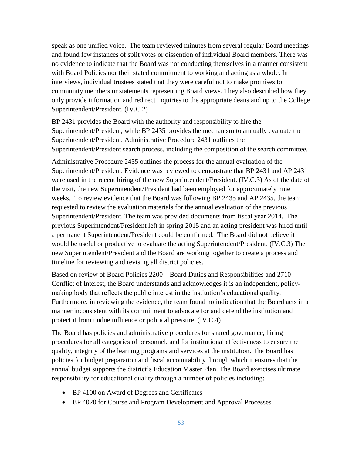speak as one unified voice. The team reviewed minutes from several regular Board meetings and found few instances of split votes or dissention of individual Board members. There was no evidence to indicate that the Board was not conducting themselves in a manner consistent with Board Policies nor their stated commitment to working and acting as a whole. In interviews, individual trustees stated that they were careful not to make promises to community members or statements representing Board views. They also described how they only provide information and redirect inquiries to the appropriate deans and up to the College Superintendent/President. (IV.C.2)

BP 2431 provides the Board with the authority and responsibility to hire the Superintendent/President, while BP 2435 provides the mechanism to annually evaluate the Superintendent/President. Administrative Procedure 2431 outlines the Superintendent/President search process, including the composition of the search committee.

Administrative Procedure 2435 outlines the process for the annual evaluation of the Superintendent/President. Evidence was reviewed to demonstrate that BP 2431 and AP 2431 were used in the recent hiring of the new Superintendent/President. (IV.C.3) As of the date of the visit, the new Superintendent/President had been employed for approximately nine weeks. To review evidence that the Board was following BP 2435 and AP 2435, the team requested to review the evaluation materials for the annual evaluation of the previous Superintendent/President. The team was provided documents from fiscal year 2014. The previous Superintendent/President left in spring 2015 and an acting president was hired until a permanent Superintendent/President could be confirmed. The Board did not believe it would be useful or productive to evaluate the acting Superintendent/President. (IV.C.3) The new Superintendent/President and the Board are working together to create a process and timeline for reviewing and revising all district policies.

Based on review of Board Policies 2200 – Board Duties and Responsibilities and 2710 - Conflict of Interest, the Board understands and acknowledges it is an independent, policymaking body that reflects the public interest in the institution's educational quality. Furthermore, in reviewing the evidence, the team found no indication that the Board acts in a manner inconsistent with its commitment to advocate for and defend the institution and protect it from undue influence or political pressure. (IV.C.4)

The Board has policies and administrative procedures for shared governance, hiring procedures for all categories of personnel, and for institutional effectiveness to ensure the quality, integrity of the learning programs and services at the institution. The Board has policies for budget preparation and fiscal accountability through which it ensures that the annual budget supports the district's Education Master Plan. The Board exercises ultimate responsibility for educational quality through a number of policies including:

- BP 4100 on Award of Degrees and Certificates
- BP 4020 for Course and Program Development and Approval Processes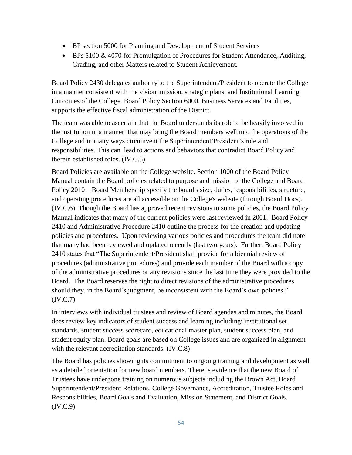- BP section 5000 for Planning and Development of Student Services
- BPs 5100 & 4070 for Promulgation of Procedures for Student Attendance, Auditing, Grading, and other Matters related to Student Achievement.

Board Policy 2430 delegates authority to the Superintendent/President to operate the College in a manner consistent with the vision, mission, strategic plans, and Institutional Learning Outcomes of the College. Board Policy Section 6000, Business Services and Facilities, supports the effective fiscal administration of the District.

The team was able to ascertain that the Board understands its role to be heavily involved in the institution in a manner that may bring the Board members well into the operations of the College and in many ways circumvent the Superintendent/President's role and responsibilities. This can lead to actions and behaviors that contradict Board Policy and therein established roles. (IV.C.5)

Board Policies are available on the College website. Section 1000 of the Board Policy Manual contain the Board policies related to purpose and mission of the College and Board Policy 2010 – Board Membership specify the board's size, duties, responsibilities, structure, and operating procedures are all accessible on the College's website (through Board Docs). (IV.C.6) Though the Board has approved recent revisions to some policies, the Board Policy Manual indicates that many of the current policies were last reviewed in 2001. Board Policy 2410 and Administrative Procedure 2410 outline the process for the creation and updating policies and procedures. Upon reviewing various policies and procedures the team did note that many had been reviewed and updated recently (last two years). Further, Board Policy 2410 states that "The Superintendent/President shall provide for a biennial review of procedures (administrative procedures) and provide each member of the Board with a copy of the administrative procedures or any revisions since the last time they were provided to the Board. The Board reserves the right to direct revisions of the administrative procedures should they, in the Board's judgment, be inconsistent with the Board's own policies." (IV.C.7)

In interviews with individual trustees and review of Board agendas and minutes, the Board does review key indicators of student success and learning including: institutional set standards, student success scorecard, educational master plan, student success plan, and student equity plan. Board goals are based on College issues and are organized in alignment with the relevant accreditation standards. (IV.C.8)

The Board has policies showing its commitment to ongoing training and development as well as a detailed orientation for new board members. There is evidence that the new Board of Trustees have undergone training on numerous subjects including the Brown Act, Board Superintendent/President Relations, College Governance, Accreditation, Trustee Roles and Responsibilities, Board Goals and Evaluation, Mission Statement, and District Goals.  $(IV.C.9)$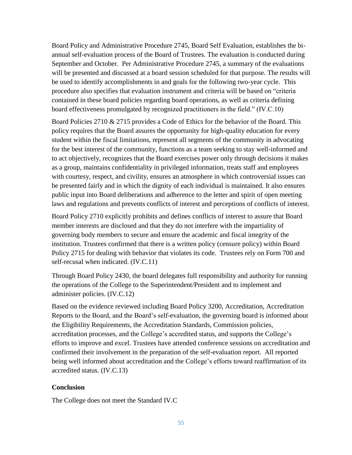Board Policy and Administrative Procedure 2745, Board Self Evaluation, establishes the biannual self-evaluation process of the Board of Trustees. The evaluation is conducted during September and October. Per Administrative Procedure 2745, a summary of the evaluations will be presented and discussed at a board session scheduled for that purpose. The results will be used to identify accomplishments in and goals for the following two-year cycle. This procedure also specifies that evaluation instrument and criteria will be based on "criteria contained in these board policies regarding board operations, as well as criteria defining board effectiveness promulgated by recognized practitioners in the field." (IV.C.10)

Board Policies 2710 & 2715 provides a Code of Ethics for the behavior of the Board. This policy requires that the Board assures the opportunity for high-quality education for every student within the fiscal limitations, represent all segments of the community in advocating for the best interest of the community, functions as a team seeking to stay well-informed and to act objectively, recognizes that the Board exercises power only through decisions it makes as a group, maintains confidentiality in privileged information, treats staff and employees with courtesy, respect, and civility, ensures an atmosphere in which controversial issues can be presented fairly and in which the dignity of each individual is maintained. It also ensures public input into Board deliberations and adherence to the letter and spirit of open meeting laws and regulations and prevents conflicts of interest and perceptions of conflicts of interest.

Board Policy 2710 explicitly prohibits and defines conflicts of interest to assure that Board member interests are disclosed and that they do not interfere with the impartiality of governing body members to secure and ensure the academic and fiscal integrity of the institution. Trustees confirmed that there is a written policy (censure policy) within Board Policy 2715 for dealing with behavior that violates its code. Trustees rely on Form 700 and self-recusal when indicated. (IV.C.11)

Through Board Policy 2430, the board delegates full responsibility and authority for running the operations of the College to the Superintendent/President and to implement and administer policies. (IV.C.12)

Based on the evidence reviewed including Board Policy 3200, Accreditation, Accreditation Reports to the Board, and the Board's self-evaluation, the governing board is informed about the Eligibility Requirements, the Accreditation Standards, Commission policies, accreditation processes, and the College's accredited status, and supports the College's efforts to improve and excel. Trustees have attended conference sessions on accreditation and confirmed their involvement in the preparation of the self-evaluation report. All reported being well informed about accreditation and the College's efforts toward reaffirmation of its accredited status. (IV.C.13)

## **Conclusion**

The College does not meet the Standard IV.C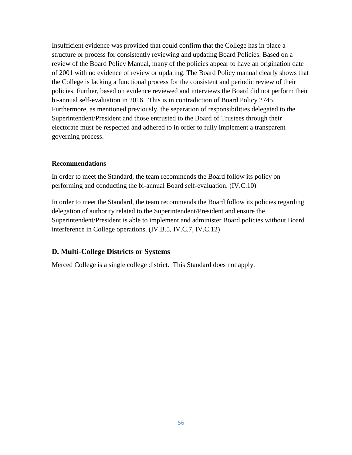Insufficient evidence was provided that could confirm that the College has in place a structure or process for consistently reviewing and updating Board Policies. Based on a review of the Board Policy Manual, many of the policies appear to have an origination date of 2001 with no evidence of review or updating. The Board Policy manual clearly shows that the College is lacking a functional process for the consistent and periodic review of their policies. Further, based on evidence reviewed and interviews the Board did not perform their bi-annual self-evaluation in 2016. This is in contradiction of Board Policy 2745. Furthermore, as mentioned previously, the separation of responsibilities delegated to the Superintendent/President and those entrusted to the Board of Trustees through their electorate must be respected and adhered to in order to fully implement a transparent governing process.

### **Recommendations**

In order to meet the Standard, the team recommends the Board follow its policy on performing and conducting the bi-annual Board self-evaluation. (IV.C.10)

In order to meet the Standard, the team recommends the Board follow its policies regarding delegation of authority related to the Superintendent/President and ensure the Superintendent/President is able to implement and administer Board policies without Board interference in College operations. (IV.B.5, IV.C.7, IV.C.12)

### **D. Multi-College Districts or Systems**

Merced College is a single college district. This Standard does not apply.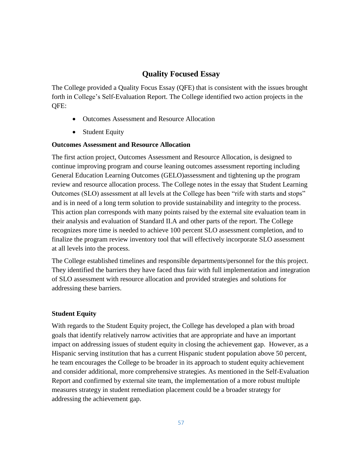# **Quality Focused Essay**

The College provided a Quality Focus Essay (QFE) that is consistent with the issues brought forth in College's Self-Evaluation Report. The College identified two action projects in the QFE:

- Outcomes Assessment and Resource Allocation
- Student Equity

## **Outcomes Assessment and Resource Allocation**

The first action project, Outcomes Assessment and Resource Allocation, is designed to continue improving program and course leaning outcomes assessment reporting including General Education Learning Outcomes (GELO)assessment and tightening up the program review and resource allocation process. The College notes in the essay that Student Learning Outcomes (SLO) assessment at all levels at the College has been "rife with starts and stops" and is in need of a long term solution to provide sustainability and integrity to the process. This action plan corresponds with many points raised by the external site evaluation team in their analysis and evaluation of Standard II.A and other parts of the report. The College recognizes more time is needed to achieve 100 percent SLO assessment completion, and to finalize the program review inventory tool that will effectively incorporate SLO assessment at all levels into the process.

The College established timelines and responsible departments/personnel for the this project. They identified the barriers they have faced thus fair with full implementation and integration of SLO assessment with resource allocation and provided strategies and solutions for addressing these barriers.

## **Student Equity**

With regards to the Student Equity project, the College has developed a plan with broad goals that identify relatively narrow activities that are appropriate and have an important impact on addressing issues of student equity in closing the achievement gap. However, as a Hispanic serving institution that has a current Hispanic student population above 50 percent, he team encourages the College to be broader in its approach to student equity achievement and consider additional, more comprehensive strategies. As mentioned in the Self-Evaluation Report and confirmed by external site team, the implementation of a more robust multiple measures strategy in student remediation placement could be a broader strategy for addressing the achievement gap.